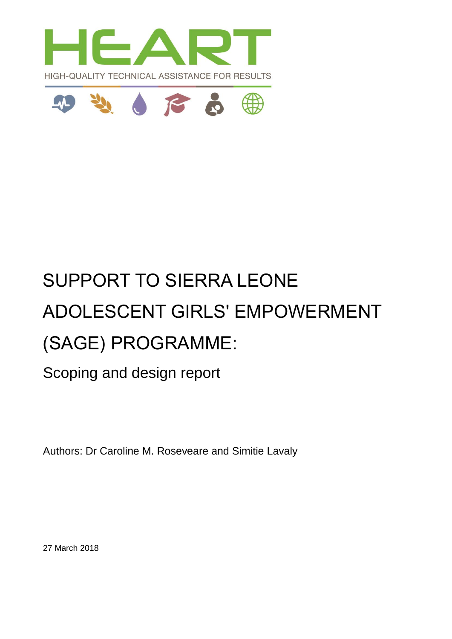



# SUPPORT TO SIERRA LEONE ADOLESCENT GIRLS' EMPOWERMENT (SAGE) PROGRAMME:

Scoping and design report

Authors: Dr Caroline M. Roseveare and Simitie Lavaly

27 March 2018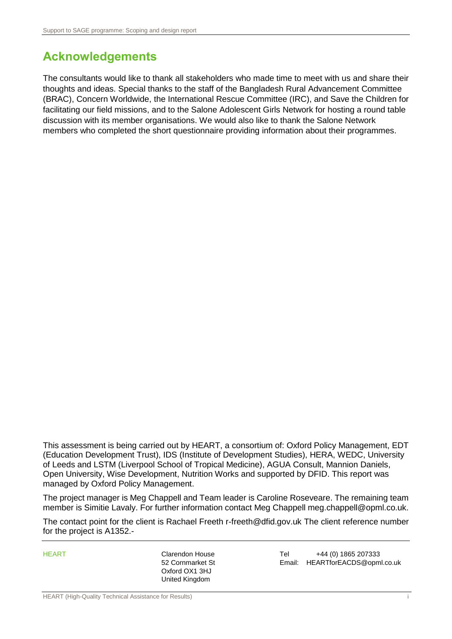# <span id="page-1-0"></span>**Acknowledgements**

The consultants would like to thank all stakeholders who made time to meet with us and share their thoughts and ideas. Special thanks to the staff of the Bangladesh Rural Advancement Committee (BRAC), Concern Worldwide, the International Rescue Committee (IRC), and Save the Children for facilitating our field missions, and to the Salone Adolescent Girls Network for hosting a round table discussion with its member organisations. We would also like to thank the Salone Network members who completed the short questionnaire providing information about their programmes.

This assessment is being carried out by HEART, a consortium of: Oxford Policy Management, EDT (Education Development Trust), IDS (Institute of Development Studies), HERA, WEDC, University of Leeds and LSTM (Liverpool School of Tropical Medicine), AGUA Consult, Mannion Daniels, Open University, Wise Development, Nutrition Works and supported by DFID. This report was managed by Oxford Policy Management.

The project manager is Meg Chappell and Team leader is Caroline Roseveare. The remaining team member is Simitie Lavaly. For further information contact Meg Chappell meg.chappell@opml.co.uk.

The contact point for the client is Rachael Freeth r-freeth@dfid.gov.uk The client reference number for the project is A1352.-

Oxford OX1 3HJ United Kingdom

HEART Clarendon House Tel +44 (0) 1865 207333 52 Cornmarket St Email: HEARTforEACDS@opml.co.uk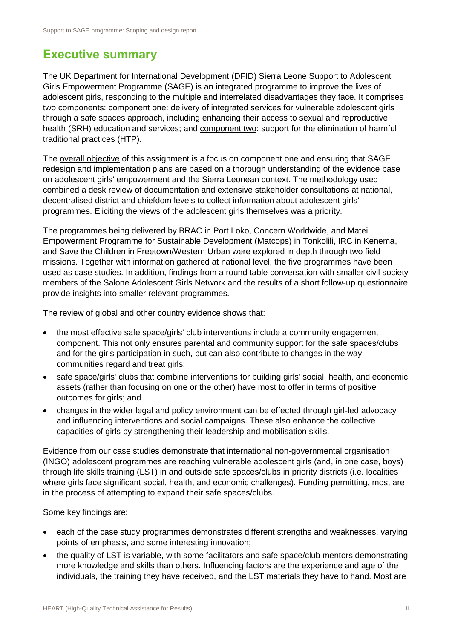# <span id="page-2-0"></span>**Executive summary**

The UK Department for International Development (DFID) Sierra Leone Support to Adolescent Girls Empowerment Programme (SAGE) is an integrated programme to improve the lives of adolescent girls, responding to the multiple and interrelated disadvantages they face. It comprises two components: component one: delivery of integrated services for vulnerable adolescent girls through a safe spaces approach, including enhancing their access to sexual and reproductive health (SRH) education and services; and component two: support for the elimination of harmful traditional practices (HTP).

The overall objective of this assignment is a focus on component one and ensuring that SAGE redesign and implementation plans are based on a thorough understanding of the evidence base on adolescent girls' empowerment and the Sierra Leonean context. The methodology used combined a desk review of documentation and extensive stakeholder consultations at national, decentralised district and chiefdom levels to collect information about adolescent girls' programmes. Eliciting the views of the adolescent girls themselves was a priority.

The programmes being delivered by BRAC in Port Loko, Concern Worldwide, and Matei Empowerment Programme for Sustainable Development (Matcops) in Tonkolili, IRC in Kenema, and Save the Children in Freetown/Western Urban were explored in depth through two field missions. Together with information gathered at national level, the five programmes have been used as case studies. In addition, findings from a round table conversation with smaller civil society members of the Salone Adolescent Girls Network and the results of a short follow-up questionnaire provide insights into smaller relevant programmes.

The review of global and other country evidence shows that:

- the most effective safe space/girls' club interventions include a community engagement component. This not only ensures parental and community support for the safe spaces/clubs and for the girls participation in such, but can also contribute to changes in the way communities regard and treat girls;
- safe space/girls' clubs that combine interventions for building girls' social, health, and economic assets (rather than focusing on one or the other) have most to offer in terms of positive outcomes for girls; and
- changes in the wider legal and policy environment can be effected through girl-led advocacy and influencing interventions and social campaigns. These also enhance the collective capacities of girls by strengthening their leadership and mobilisation skills.

Evidence from our case studies demonstrate that international non-governmental organisation (INGO) adolescent programmes are reaching vulnerable adolescent girls (and, in one case, boys) through life skills training (LST) in and outside safe spaces/clubs in priority districts (i.e. localities where girls face significant social, health, and economic challenges). Funding permitting, most are in the process of attempting to expand their safe spaces/clubs.

Some key findings are:

- each of the case study programmes demonstrates different strengths and weaknesses, varying points of emphasis, and some interesting innovation;
- the quality of LST is variable, with some facilitators and safe space/club mentors demonstrating more knowledge and skills than others. Influencing factors are the experience and age of the individuals, the training they have received, and the LST materials they have to hand. Most are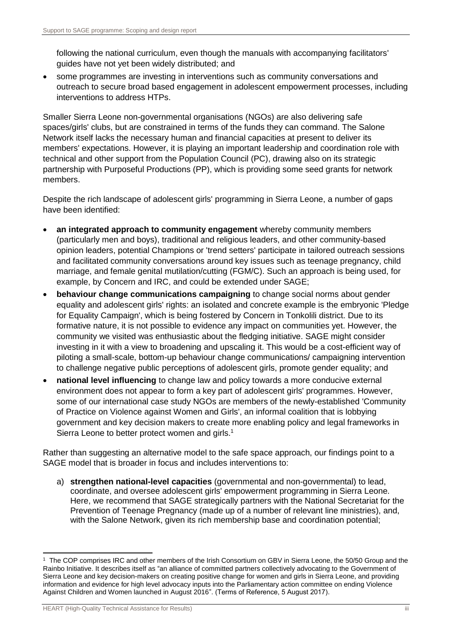following the national curriculum, even though the manuals with accompanying facilitators' guides have not yet been widely distributed; and

 some programmes are investing in interventions such as community conversations and outreach to secure broad based engagement in adolescent empowerment processes, including interventions to address HTPs.

Smaller Sierra Leone non-governmental organisations (NGOs) are also delivering safe spaces/girls' clubs, but are constrained in terms of the funds they can command. The Salone Network itself lacks the necessary human and financial capacities at present to deliver its members' expectations. However, it is playing an important leadership and coordination role with technical and other support from the Population Council (PC), drawing also on its strategic partnership with Purposeful Productions (PP), which is providing some seed grants for network members.

Despite the rich landscape of adolescent girls' programming in Sierra Leone, a number of gaps have been identified:

- **an integrated approach to community engagement** whereby community members (particularly men and boys), traditional and religious leaders, and other community-based opinion leaders, potential Champions or 'trend setters' participate in tailored outreach sessions and facilitated community conversations around key issues such as teenage pregnancy, child marriage, and female genital mutilation/cutting (FGM/C). Such an approach is being used, for example, by Concern and IRC, and could be extended under SAGE;
- **behaviour change communications campaigning** to change social norms about gender equality and adolescent girls' rights: an isolated and concrete example is the embryonic 'Pledge for Equality Campaign', which is being fostered by Concern in Tonkolili district. Due to its formative nature, it is not possible to evidence any impact on communities yet. However, the community we visited was enthusiastic about the fledging initiative. SAGE might consider investing in it with a view to broadening and upscaling it. This would be a cost-efficient way of piloting a small-scale, bottom-up behaviour change communications/ campaigning intervention to challenge negative public perceptions of adolescent girls, promote gender equality; and
- **national level influencing** to change law and policy towards a more conducive external environment does not appear to form a key part of adolescent girls' programmes. However, some of our international case study NGOs are members of the newly-established 'Community of Practice on Violence against Women and Girls', an informal coalition that is lobbying government and key decision makers to create more enabling policy and legal frameworks in Sierra Leone to better protect women and girls.<sup>1</sup>

Rather than suggesting an alternative model to the safe space approach, our findings point to a SAGE model that is broader in focus and includes interventions to:

a) **strengthen national-level capacities** (governmental and non-governmental) to lead, coordinate, and oversee adolescent girls' empowerment programming in Sierra Leone. Here, we recommend that SAGE strategically partners with the National Secretariat for the Prevention of Teenage Pregnancy (made up of a number of relevant line ministries), and, with the Salone Network, given its rich membership base and coordination potential;

-

<sup>1</sup> The COP comprises IRC and other members of the Irish Consortium on GBV in Sierra Leone, the 50/50 Group and the Rainbo Initiative. It describes itself as "an alliance of committed partners collectively advocating to the Government of Sierra Leone and key decision-makers on creating positive change for women and girls in Sierra Leone, and providing information and evidence for high level advocacy inputs into the Parliamentary action committee on ending Violence Against Children and Women launched in August 2016". (Terms of Reference, 5 August 2017).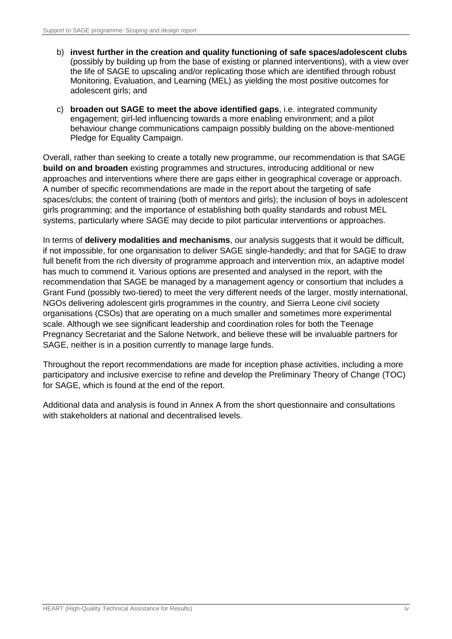- b) **invest further in the creation and quality functioning of safe spaces/adolescent clubs**  (possibly by building up from the base of existing or planned interventions), with a view over the life of SAGE to upscaling and/or replicating those which are identified through robust Monitoring, Evaluation, and Learning (MEL) as yielding the most positive outcomes for adolescent girls; and
- c) **broaden out SAGE to meet the above identified gaps**, i.e. integrated community engagement; girl-led influencing towards a more enabling environment; and a pilot behaviour change communications campaign possibly building on the above-mentioned Pledge for Equality Campaign.

Overall, rather than seeking to create a totally new programme, our recommendation is that SAGE **build on and broaden** existing programmes and structures, introducing additional or new approaches and interventions where there are gaps either in geographical coverage or approach. A number of specific recommendations are made in the report about the targeting of safe spaces/clubs; the content of training (both of mentors and girls); the inclusion of boys in adolescent girls programming; and the importance of establishing both quality standards and robust MEL systems, particularly where SAGE may decide to pilot particular interventions or approaches.

In terms of **delivery modalities and mechanisms**, our analysis suggests that it would be difficult, if not impossible, for one organisation to deliver SAGE single-handedly; and that for SAGE to draw full benefit from the rich diversity of programme approach and intervention mix, an adaptive model has much to commend it. Various options are presented and analysed in the report, with the recommendation that SAGE be managed by a management agency or consortium that includes a Grant Fund (possibly two-tiered) to meet the very different needs of the larger, mostly international, NGOs delivering adolescent girls programmes in the country, and Sierra Leone civil society organisations (CSOs) that are operating on a much smaller and sometimes more experimental scale. Although we see significant leadership and coordination roles for both the Teenage Pregnancy Secretariat and the Salone Network, and believe these will be invaluable partners for SAGE, neither is in a position currently to manage large funds.

Throughout the report recommendations are made for inception phase activities, including a more participatory and inclusive exercise to refine and develop the Preliminary Theory of Change (TOC) for SAGE, which is found at the end of the report.

Additional data and analysis is found in Annex A from the short questionnaire and consultations with stakeholders at national and decentralised levels.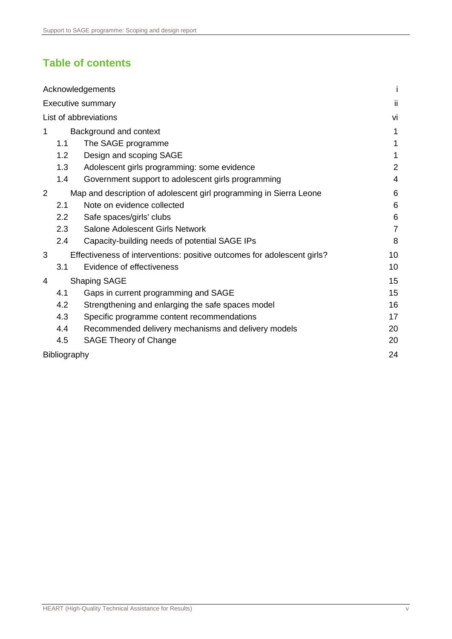# **Table of contents**

| Acknowledgements                                                             |                |
|------------------------------------------------------------------------------|----------------|
| <b>Executive summary</b>                                                     | ii             |
| List of abbreviations                                                        | vi             |
| Background and context<br>1                                                  | 1              |
| 1.1<br>The SAGE programme                                                    | 1              |
| 1.2<br>Design and scoping SAGE                                               | 1              |
| 1.3<br>Adolescent girls programming: some evidence                           | $\overline{2}$ |
| 1.4<br>Government support to adolescent girls programming                    | 4              |
| 2<br>Map and description of adolescent girl programming in Sierra Leone      | 6              |
| Note on evidence collected<br>2.1                                            | 6              |
| 2.2<br>Safe spaces/girls' clubs                                              | 6              |
| 2.3<br>Salone Adolescent Girls Network                                       | $\overline{7}$ |
| 2.4<br>Capacity-building needs of potential SAGE IPs                         | 8              |
| 3<br>Effectiveness of interventions: positive outcomes for adolescent girls? | 10             |
| Evidence of effectiveness<br>3.1                                             | 10             |
| <b>Shaping SAGE</b><br>4                                                     | 15             |
| 4.1<br>Gaps in current programming and SAGE                                  | 15             |
| 4.2<br>Strengthening and enlarging the safe spaces model                     | 16             |
| 4.3<br>Specific programme content recommendations                            | 17             |
| 4.4<br>Recommended delivery mechanisms and delivery models                   | 20             |
| SAGE Theory of Change<br>4.5                                                 | 20             |
| Bibliography                                                                 | 24             |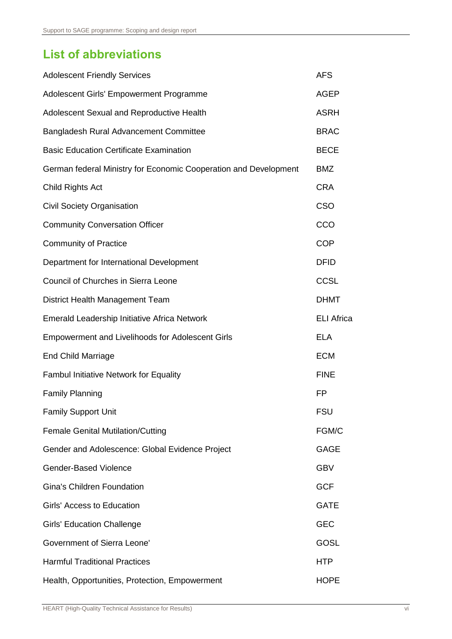# <span id="page-6-0"></span>**List of abbreviations**

| <b>Adolescent Friendly Services</b>                              | <b>AFS</b>        |
|------------------------------------------------------------------|-------------------|
| Adolescent Girls' Empowerment Programme                          | <b>AGEP</b>       |
| Adolescent Sexual and Reproductive Health                        | <b>ASRH</b>       |
| Bangladesh Rural Advancement Committee                           | <b>BRAC</b>       |
| <b>Basic Education Certificate Examination</b>                   | <b>BECE</b>       |
| German federal Ministry for Economic Cooperation and Development | <b>BMZ</b>        |
| Child Rights Act                                                 | <b>CRA</b>        |
| <b>Civil Society Organisation</b>                                | CSO               |
| <b>Community Conversation Officer</b>                            | CCO               |
| <b>Community of Practice</b>                                     | <b>COP</b>        |
| Department for International Development                         | <b>DFID</b>       |
| Council of Churches in Sierra Leone                              | <b>CCSL</b>       |
| District Health Management Team                                  | <b>DHMT</b>       |
| Emerald Leadership Initiative Africa Network                     | <b>ELI Africa</b> |
| <b>Empowerment and Livelihoods for Adolescent Girls</b>          | <b>ELA</b>        |
| <b>End Child Marriage</b>                                        | <b>ECM</b>        |
| <b>Fambul Initiative Network for Equality</b>                    | <b>FINE</b>       |
| <b>Family Planning</b>                                           | <b>FP</b>         |
| <b>Family Support Unit</b>                                       | <b>FSU</b>        |
| <b>Female Genital Mutilation/Cutting</b>                         | FGM/C             |
| Gender and Adolescence: Global Evidence Project                  | <b>GAGE</b>       |
| <b>Gender-Based Violence</b>                                     | <b>GBV</b>        |
| <b>Gina's Children Foundation</b>                                | <b>GCF</b>        |
| Girls' Access to Education                                       | <b>GATE</b>       |
| <b>Girls' Education Challenge</b>                                | <b>GEC</b>        |
| <b>Government of Sierra Leone'</b>                               | GOSL              |
| <b>Harmful Traditional Practices</b>                             | <b>HTP</b>        |
| Health, Opportunities, Protection, Empowerment                   | <b>HOPE</b>       |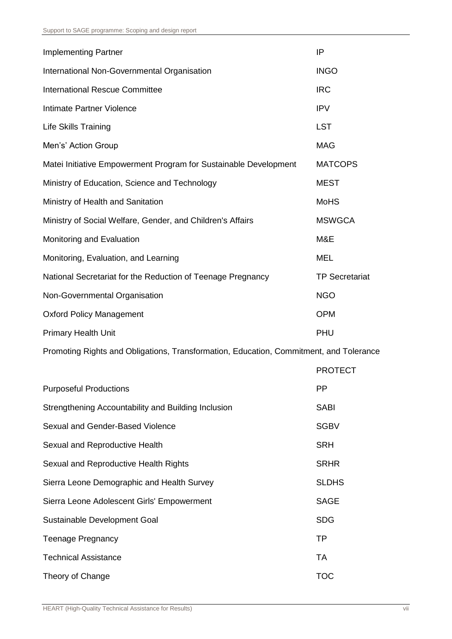| <b>Implementing Partner</b>                                      | IP                    |
|------------------------------------------------------------------|-----------------------|
| International Non-Governmental Organisation                      | <b>INGO</b>           |
| <b>International Rescue Committee</b>                            | <b>IRC</b>            |
| Intimate Partner Violence                                        | <b>IPV</b>            |
| <b>Life Skills Training</b>                                      | <b>LST</b>            |
| Men's' Action Group                                              | <b>MAG</b>            |
| Matei Initiative Empowerment Program for Sustainable Development | <b>MATCOPS</b>        |
| Ministry of Education, Science and Technology                    | <b>MEST</b>           |
| Ministry of Health and Sanitation                                | <b>MoHS</b>           |
| Ministry of Social Welfare, Gender, and Children's Affairs       | <b>MSWGCA</b>         |
| Monitoring and Evaluation                                        | M&E                   |
| Monitoring, Evaluation, and Learning                             | <b>MEL</b>            |
| National Secretariat for the Reduction of Teenage Pregnancy      | <b>TP Secretariat</b> |
| Non-Governmental Organisation                                    | <b>NGO</b>            |
| <b>Oxford Policy Management</b>                                  | <b>OPM</b>            |
| <b>Primary Health Unit</b>                                       | PHU                   |

Promoting Rights and Obligations, Transformation, Education, Commitment, and Tolerance

|                                                     | <b>PROTECT</b> |
|-----------------------------------------------------|----------------|
| <b>Purposeful Productions</b>                       | <b>PP</b>      |
| Strengthening Accountability and Building Inclusion | <b>SABI</b>    |
| Sexual and Gender-Based Violence                    | <b>SGBV</b>    |
| Sexual and Reproductive Health                      | <b>SRH</b>     |
| Sexual and Reproductive Health Rights               | <b>SRHR</b>    |
| Sierra Leone Demographic and Health Survey          | <b>SLDHS</b>   |
| Sierra Leone Adolescent Girls' Empowerment          | <b>SAGE</b>    |
| Sustainable Development Goal                        | <b>SDG</b>     |
| <b>Teenage Pregnancy</b>                            | <b>TP</b>      |
| <b>Technical Assistance</b>                         | <b>TA</b>      |
| Theory of Change                                    | <b>TOC</b>     |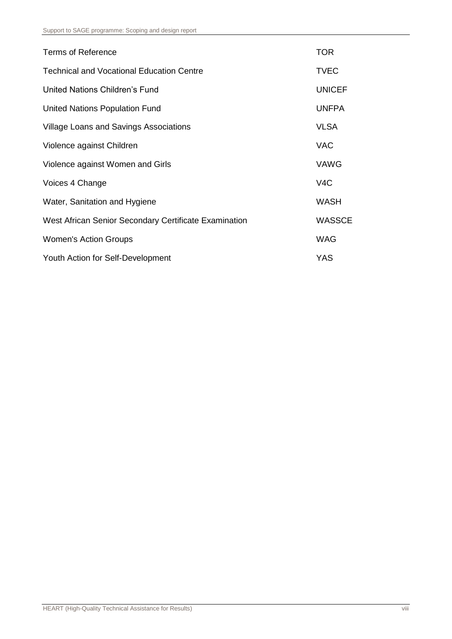| <b>Terms of Reference</b>                             | <b>TOR</b>    |
|-------------------------------------------------------|---------------|
| <b>Technical and Vocational Education Centre</b>      | <b>TVEC</b>   |
| United Nations Children's Fund                        | <b>UNICEF</b> |
| United Nations Population Fund                        | <b>UNFPA</b>  |
| Village Loans and Savings Associations                | <b>VLSA</b>   |
| Violence against Children                             | <b>VAC</b>    |
| Violence against Women and Girls                      | <b>VAWG</b>   |
| Voices 4 Change                                       | V4C           |
| Water, Sanitation and Hygiene                         | <b>WASH</b>   |
| West African Senior Secondary Certificate Examination | <b>WASSCE</b> |
| <b>Women's Action Groups</b>                          | <b>WAG</b>    |
| Youth Action for Self-Development                     | YAS           |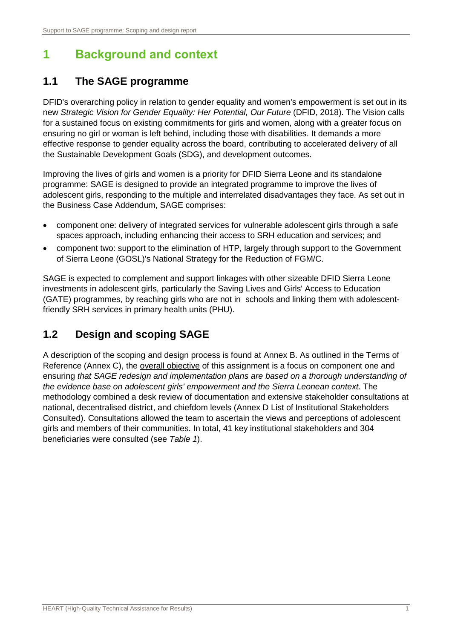# <span id="page-9-0"></span>**1 Background and context**

# <span id="page-9-1"></span>**1.1 The SAGE programme**

DFID's overarching policy in relation to gender equality and women's empowerment is set out in its new *Strategic Vision for Gender Equality: Her Potential, Our Future* (DFID, 2018). The Vision calls for a sustained focus on existing commitments for girls and women, along with a greater focus on ensuring no girl or woman is left behind, including those with disabilities. It demands a more effective response to gender equality across the board, contributing to accelerated delivery of all the Sustainable Development Goals (SDG), and development outcomes.

Improving the lives of girls and women is a priority for DFID Sierra Leone and its standalone programme: SAGE is designed to provide an integrated programme to improve the lives of adolescent girls, responding to the multiple and interrelated disadvantages they face. As set out in the Business Case Addendum, SAGE comprises:

- component one: delivery of integrated services for vulnerable adolescent girls through a safe spaces approach, including enhancing their access to SRH education and services; and
- component two: support to the elimination of HTP, largely through support to the Government of Sierra Leone (GOSL)'s National Strategy for the Reduction of FGM/C.

SAGE is expected to complement and support linkages with other sizeable DFID Sierra Leone investments in adolescent girls, particularly the Saving Lives and Girls' Access to Education (GATE) programmes, by reaching girls who are not in schools and linking them with adolescentfriendly SRH services in primary health units (PHU).

# <span id="page-9-2"></span>**1.2 Design and scoping SAGE**

A description of the scoping and design process is found at Annex B. As outlined in the Terms of Reference (Annex C), the overall objective of this assignment is a focus on component one and ensuring *that SAGE redesign and implementation plans are based on a thorough understanding of the evidence base on adolescent girls' empowerment and the Sierra Leonean context*. The methodology combined a desk review of documentation and extensive stakeholder consultations at national, decentralised district, and chiefdom levels (Annex D List of Institutional Stakeholders Consulted). Consultations allowed the team to ascertain the views and perceptions of adolescent girls and members of their communities. In total, 41 key institutional stakeholders and 304 beneficiaries were consulted (see *Table 1*).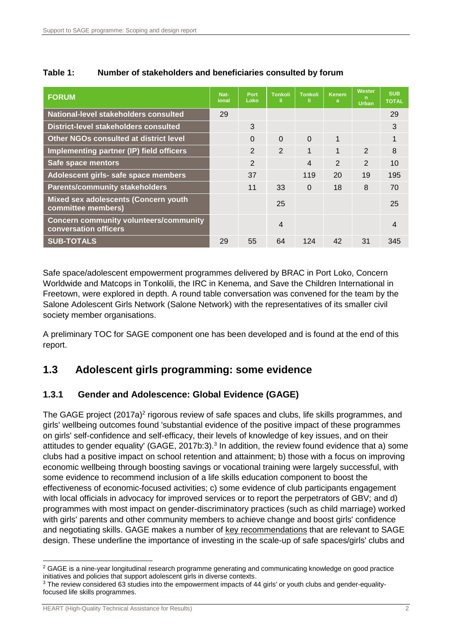| <b>FORUM</b>                                                           | Nat-<br>ional | Port<br>Loko   | <b>Tonkoli</b><br>-li | <b>Tonkoli</b><br>-li- | <b>Kenem</b><br>a | Wester<br>n.<br><b>Urban</b> | <b>SUB</b><br><b>TOTAL</b> |
|------------------------------------------------------------------------|---------------|----------------|-----------------------|------------------------|-------------------|------------------------------|----------------------------|
| National-level stakeholders consulted                                  | 29            |                |                       |                        |                   |                              | 29                         |
| <b>District-level stakeholders consulted</b>                           |               | 3              |                       |                        |                   |                              | 3                          |
| <b>Other NGOs consulted at district level</b>                          |               | $\Omega$       | $\Omega$              | $\Omega$               | $\mathbf{1}$      |                              |                            |
| Implementing partner (IP) field officers                               |               | 2              | $\overline{2}$        | 1                      | 1                 | $\mathfrak{D}$               | 8                          |
| Safe space mentors                                                     |               | $\overline{2}$ |                       | 4                      | $\mathcal{P}$     | $\mathcal{P}$                | 10                         |
| Adolescent girls- safe space members                                   |               | 37             |                       | 119                    | 20                | 19                           | 195                        |
| <b>Parents/community stakeholders</b>                                  |               | 11             | 33                    | $\Omega$               | 18                | 8                            | 70                         |
| Mixed sex adolescents (Concern youth<br>committee members)             |               |                | 25                    |                        |                   |                              | 25                         |
| <b>Concern community volunteers/community</b><br>conversation officers |               |                | 4                     |                        |                   |                              | 4                          |
| <b>SUB-TOTALS</b>                                                      | 29            | 55             | 64                    | 124                    | 42                | 31                           | 345                        |

#### **Table 1: Number of stakeholders and beneficiaries consulted by forum**

Safe space/adolescent empowerment programmes delivered by BRAC in Port Loko, Concern Worldwide and Matcops in Tonkolili, the IRC in Kenema, and Save the Children International in Freetown, were explored in depth. A round table conversation was convened for the team by the Salone Adolescent Girls Network (Salone Network) with the representatives of its smaller civil society member organisations.

A preliminary TOC for SAGE component one has been developed and is found at the end of this report.

# <span id="page-10-0"></span>**1.3 Adolescent girls programming: some evidence**

## **1.3.1 Gender and Adolescence: Global Evidence (GAGE)**

The GAGE project (2017a)<sup>2</sup> rigorous review of safe spaces and clubs, life skills programmes, and girls' wellbeing outcomes found 'substantial evidence of the positive impact of these programmes on girls' self-confidence and self-efficacy, their levels of knowledge of key issues, and on their attitudes to gender equality' (GAGE, 2017b:3).<sup>3</sup> In addition, the review found evidence that a) some clubs had a positive impact on school retention and attainment; b) those with a focus on improving economic wellbeing through boosting savings or vocational training were largely successful, with some evidence to recommend inclusion of a life skills education component to boost the effectiveness of economic-focused activities; c) some evidence of club participants engagement with local officials in advocacy for improved services or to report the perpetrators of GBV; and d) programmes with most impact on gender-discriminatory practices (such as child marriage) worked with girls' parents and other community members to achieve change and boost girls' confidence and negotiating skills. GAGE makes a number of key recommendations that are relevant to SAGE design. These underline the importance of investing in the scale-up of safe spaces/girls' clubs and

-

 $2$  GAGE is a nine-year longitudinal research programme generating and communicating knowledge on good practice initiatives and policies that support adolescent girls in diverse contexts.

<sup>&</sup>lt;sup>3</sup> The review considered 63 studies into the empowerment impacts of 44 girls' or youth clubs and gender-equalityfocused life skills programmes.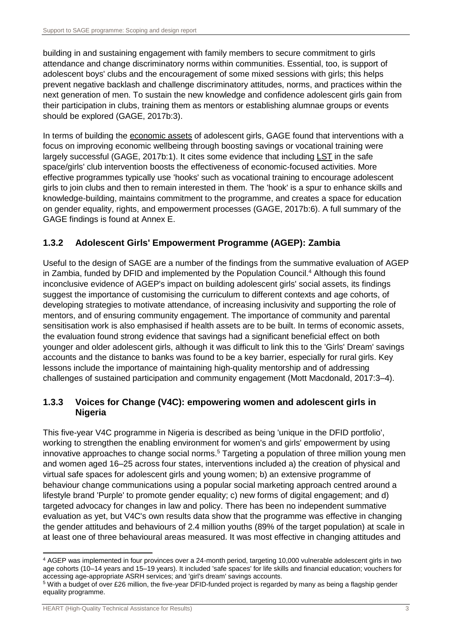building in and sustaining engagement with family members to secure commitment to girls attendance and change discriminatory norms within communities. Essential, too, is support of adolescent boys' clubs and the encouragement of some mixed sessions with girls; this helps prevent negative backlash and challenge discriminatory attitudes, norms, and practices within the next generation of men. To sustain the new knowledge and confidence adolescent girls gain from their participation in clubs, training them as mentors or establishing alumnae groups or events should be explored (GAGE, 2017b:3).

In terms of building the economic assets of adolescent girls, GAGE found that interventions with a focus on improving economic wellbeing through boosting savings or vocational training were largely successful (GAGE, 2017b:1). It cites some evidence that including LST in the safe space/girls' club intervention boosts the effectiveness of economic-focused activities. More effective programmes typically use 'hooks' such as vocational training to encourage adolescent girls to join clubs and then to remain interested in them. The 'hook' is a spur to enhance skills and knowledge-building, maintains commitment to the programme, and creates a space for education on gender equality, rights, and empowerment processes (GAGE, 2017b:6). A full summary of the GAGE findings is found at Annex E.

## **1.3.2 Adolescent Girls' Empowerment Programme (AGEP): Zambia**

Useful to the design of SAGE are a number of the findings from the summative evaluation of AGEP in Zambia, funded by DFID and implemented by the Population Council.<sup>4</sup> Although this found inconclusive evidence of AGEP's impact on building adolescent girls' social assets, its findings suggest the importance of customising the curriculum to different contexts and age cohorts, of developing strategies to motivate attendance, of increasing inclusivity and supporting the role of mentors, and of ensuring community engagement. The importance of community and parental sensitisation work is also emphasised if health assets are to be built. In terms of economic assets, the evaluation found strong evidence that savings had a significant beneficial effect on both younger and older adolescent girls, although it was difficult to link this to the 'Girls' Dream' savings accounts and the distance to banks was found to be a key barrier, especially for rural girls. Key lessons include the importance of maintaining high-quality mentorship and of addressing challenges of sustained participation and community engagement (Mott Macdonald, 2017:3–4).

#### **1.3.3 Voices for Change (V4C): empowering women and adolescent girls in Nigeria**

This five-year V4C programme in Nigeria is described as being 'unique in the DFID portfolio', working to strengthen the enabling environment for women's and girls' empowerment by using innovative approaches to change social norms.<sup>5</sup> Targeting a population of three million young men and women aged 16–25 across four states, interventions included a) the creation of physical and virtual safe spaces for adolescent girls and young women; b) an extensive programme of behaviour change communications using a popular social marketing approach centred around a lifestyle brand 'Purple' to promote gender equality; c) new forms of digital engagement; and d) targeted advocacy for changes in law and policy. There has been no independent summative evaluation as yet, but V4C's own results data show that the programme was effective in changing the gender attitudes and behaviours of 2.4 million youths (89% of the target population) at scale in at least one of three behavioural areas measured. It was most effective in changing attitudes and

<sup>-</sup><sup>4</sup> AGEP was implemented in four provinces over a 24-month period, targeting 10,000 vulnerable adolescent girls in two age cohorts (10–14 years and 15–19 years). It included 'safe spaces' for life skills and financial education; vouchers for accessing age-appropriate ASRH services; and 'girl's dream' savings accounts.

<sup>5</sup> With a budget of over £26 million, the five-year DFID-funded project is regarded by many as being a flagship gender equality programme.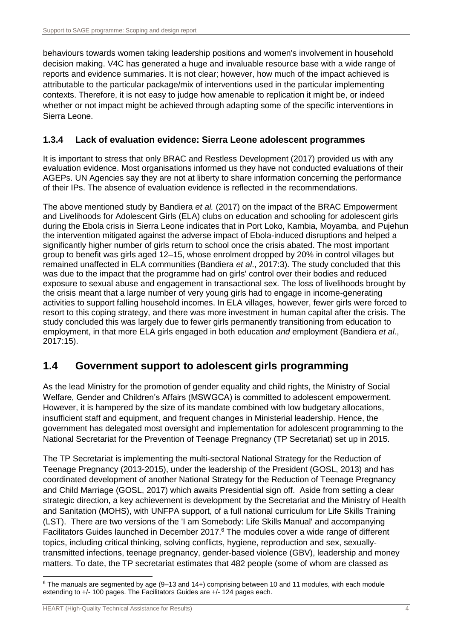behaviours towards women taking leadership positions and women's involvement in household decision making. V4C has generated a huge and invaluable resource base with a wide range of reports and evidence summaries. It is not clear; however, how much of the impact achieved is attributable to the particular package/mix of interventions used in the particular implementing contexts. Therefore, it is not easy to judge how amenable to replication it might be, or indeed whether or not impact might be achieved through adapting some of the specific interventions in Sierra Leone.

## **1.3.4 Lack of evaluation evidence: Sierra Leone adolescent programmes**

It is important to stress that only BRAC and Restless Development (2017) provided us with any evaluation evidence. Most organisations informed us they have not conducted evaluations of their AGEPs. UN Agencies say they are not at liberty to share information concerning the performance of their IPs. The absence of evaluation evidence is reflected in the recommendations.

The above mentioned study by Bandiera *et al.* (2017) on the impact of the BRAC Empowerment and Livelihoods for Adolescent Girls (ELA) clubs on education and schooling for adolescent girls during the Ebola crisis in Sierra Leone indicates that in Port Loko, Kambia, Moyamba, and Pujehun the intervention mitigated against the adverse impact of Ebola-induced disruptions and helped a significantly higher number of girls return to school once the crisis abated. The most important group to benefit was girls aged 12–15, whose enrolment dropped by 20% in control villages but remained unaffected in ELA communities (Bandiera *et al*., 2017:3). The study concluded that this was due to the impact that the programme had on girls' control over their bodies and reduced exposure to sexual abuse and engagement in transactional sex. The loss of livelihoods brought by the crisis meant that a large number of very young girls had to engage in income-generating activities to support falling household incomes. In ELA villages, however, fewer girls were forced to resort to this coping strategy, and there was more investment in human capital after the crisis. The study concluded this was largely due to fewer girls permanently transitioning from education to employment, in that more ELA girls engaged in both education *and* employment (Bandiera *et al*., 2017:15).

# <span id="page-12-0"></span>**1.4 Government support to adolescent girls programming**

As the lead Ministry for the promotion of gender equality and child rights, the Ministry of Social Welfare, Gender and Children's Affairs (MSWGCA) is committed to adolescent empowerment. However, it is hampered by the size of its mandate combined with low budgetary allocations, insufficient staff and equipment, and frequent changes in Ministerial leadership. Hence, the government has delegated most oversight and implementation for adolescent programming to the National Secretariat for the Prevention of Teenage Pregnancy (TP Secretariat) set up in 2015.

The TP Secretariat is implementing the multi-sectoral National Strategy for the Reduction of Teenage Pregnancy (2013-2015), under the leadership of the President (GOSL, 2013) and has coordinated development of another National Strategy for the Reduction of Teenage Pregnancy and Child Marriage (GOSL, 2017) which awaits Presidential sign off. Aside from setting a clear strategic direction, a key achievement is development by the Secretariat and the Ministry of Health and Sanitation (MOHS), with UNFPA support, of a full national curriculum for Life Skills Training (LST). There are two versions of the 'I am Somebody: Life Skills Manual' and accompanying Facilitators Guides launched in December 2017.<sup>6</sup> The modules cover a wide range of different topics, including critical thinking, solving conflicts, hygiene, reproduction and sex, sexuallytransmitted infections, teenage pregnancy, gender-based violence (GBV), leadership and money matters. To date, the TP secretariat estimates that 482 people (some of whom are classed as

<sup>-</sup> $6$  The manuals are segmented by age (9-13 and 14+) comprising between 10 and 11 modules, with each module extending to +/- 100 pages. The Facilitators Guides are +/- 124 pages each.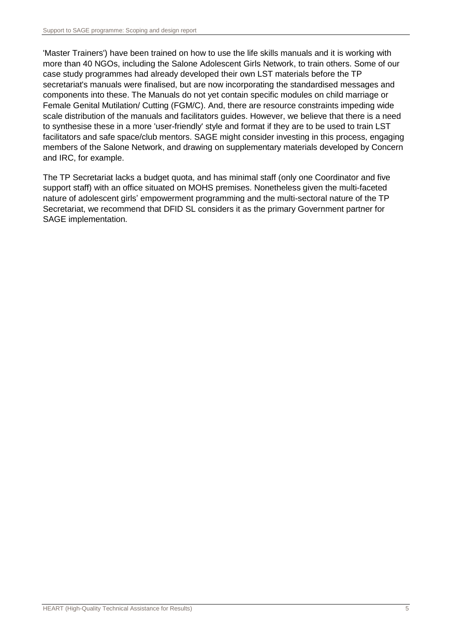'Master Trainers') have been trained on how to use the life skills manuals and it is working with more than 40 NGOs, including the Salone Adolescent Girls Network, to train others. Some of our case study programmes had already developed their own LST materials before the TP secretariat's manuals were finalised, but are now incorporating the standardised messages and components into these. The Manuals do not yet contain specific modules on child marriage or Female Genital Mutilation/ Cutting (FGM/C). And, there are resource constraints impeding wide scale distribution of the manuals and facilitators guides. However, we believe that there is a need to synthesise these in a more 'user-friendly' style and format if they are to be used to train LST facilitators and safe space/club mentors. SAGE might consider investing in this process, engaging members of the Salone Network, and drawing on supplementary materials developed by Concern and IRC, for example.

The TP Secretariat lacks a budget quota, and has minimal staff (only one Coordinator and five support staff) with an office situated on MOHS premises. Nonetheless given the multi-faceted nature of adolescent girls' empowerment programming and the multi-sectoral nature of the TP Secretariat, we recommend that DFID SL considers it as the primary Government partner for SAGE implementation.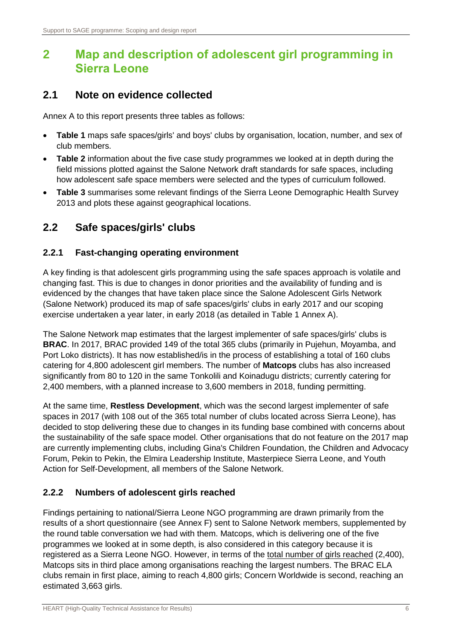# <span id="page-14-0"></span>**2 Map and description of adolescent girl programming in Sierra Leone**

## <span id="page-14-1"></span>**2.1 Note on evidence collected**

Annex A to this report presents three tables as follows:

- **Table 1** maps safe spaces/girls' and boys' clubs by organisation, location, number, and sex of club members.
- **Table 2** information about the five case study programmes we looked at in depth during the field missions plotted against the Salone Network draft standards for safe spaces, including how adolescent safe space members were selected and the types of curriculum followed.
- **Table 3** summarises some relevant findings of the Sierra Leone Demographic Health Survey 2013 and plots these against geographical locations.

# <span id="page-14-2"></span>**2.2 Safe spaces/girls' clubs**

#### **2.2.1 Fast-changing operating environment**

A key finding is that adolescent girls programming using the safe spaces approach is volatile and changing fast. This is due to changes in donor priorities and the availability of funding and is evidenced by the changes that have taken place since the Salone Adolescent Girls Network (Salone Network) produced its map of safe spaces/girls' clubs in early 2017 and our scoping exercise undertaken a year later, in early 2018 (as detailed in Table 1 Annex A).

The Salone Network map estimates that the largest implementer of safe spaces/girls' clubs is **BRAC**. In 2017, BRAC provided 149 of the total 365 clubs (primarily in Pujehun, Moyamba, and Port Loko districts). It has now established/is in the process of establishing a total of 160 clubs catering for 4,800 adolescent girl members. The number of **Matcops** clubs has also increased significantly from 80 to 120 in the same Tonkolili and Koinadugu districts; currently catering for 2,400 members, with a planned increase to 3,600 members in 2018, funding permitting.

At the same time, **Restless Development**, which was the second largest implementer of safe spaces in 2017 (with 108 out of the 365 total number of clubs located across Sierra Leone), has decided to stop delivering these due to changes in its funding base combined with concerns about the sustainability of the safe space model. Other organisations that do not feature on the 2017 map are currently implementing clubs, including Gina's Children Foundation, the Children and Advocacy Forum, Pekin to Pekin, the Elmira Leadership Institute, Masterpiece Sierra Leone, and Youth Action for Self-Development, all members of the Salone Network.

## **2.2.2 Numbers of adolescent girls reached**

Findings pertaining to national/Sierra Leone NGO programming are drawn primarily from the results of a short questionnaire (see Annex F) sent to Salone Network members, supplemented by the round table conversation we had with them. Matcops, which is delivering one of the five programmes we looked at in some depth, is also considered in this category because it is registered as a Sierra Leone NGO. However, in terms of the total number of girls reached (2,400), Matcops sits in third place among organisations reaching the largest numbers. The BRAC ELA clubs remain in first place, aiming to reach 4,800 girls; Concern Worldwide is second, reaching an estimated 3,663 girls.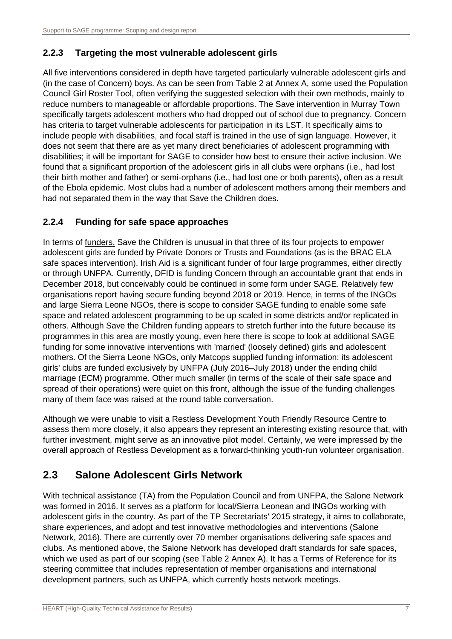#### **2.2.3 Targeting the most vulnerable adolescent girls**

All five interventions considered in depth have targeted particularly vulnerable adolescent girls and (in the case of Concern) boys. As can be seen from Table 2 at Annex A, some used the Population Council Girl Roster Tool, often verifying the suggested selection with their own methods, mainly to reduce numbers to manageable or affordable proportions. The Save intervention in Murray Town specifically targets adolescent mothers who had dropped out of school due to pregnancy. Concern has criteria to target vulnerable adolescents for participation in its LST. It specifically aims to include people with disabilities, and focal staff is trained in the use of sign language. However, it does not seem that there are as yet many direct beneficiaries of adolescent programming with disabilities; it will be important for SAGE to consider how best to ensure their active inclusion. We found that a significant proportion of the adolescent girls in all clubs were orphans (i.e., had lost their birth mother and father) or semi-orphans (i.e., had lost one or both parents), often as a result of the Ebola epidemic. Most clubs had a number of adolescent mothers among their members and had not separated them in the way that Save the Children does.

#### **2.2.4 Funding for safe space approaches**

In terms of funders, Save the Children is unusual in that three of its four projects to empower adolescent girls are funded by Private Donors or Trusts and Foundations (as is the BRAC ELA safe spaces intervention). Irish Aid is a significant funder of four large programmes, either directly or through UNFPA. Currently, DFID is funding Concern through an accountable grant that ends in December 2018, but conceivably could be continued in some form under SAGE. Relatively few organisations report having secure funding beyond 2018 or 2019. Hence, in terms of the INGOs and large Sierra Leone NGOs, there is scope to consider SAGE funding to enable some safe space and related adolescent programming to be up scaled in some districts and/or replicated in others. Although Save the Children funding appears to stretch further into the future because its programmes in this area are mostly young, even here there is scope to look at additional SAGE funding for some innovative interventions with 'married' (loosely defined) girls and adolescent mothers. Of the Sierra Leone NGOs, only Matcops supplied funding information: its adolescent girls' clubs are funded exclusively by UNFPA (July 2016–July 2018) under the ending child marriage (ECM) programme. Other much smaller (in terms of the scale of their safe space and spread of their operations) were quiet on this front, although the issue of the funding challenges many of them face was raised at the round table conversation.

Although we were unable to visit a Restless Development Youth Friendly Resource Centre to assess them more closely, it also appears they represent an interesting existing resource that, with further investment, might serve as an innovative pilot model. Certainly, we were impressed by the overall approach of Restless Development as a forward-thinking youth-run volunteer organisation.

# <span id="page-15-0"></span>**2.3 Salone Adolescent Girls Network**

With technical assistance (TA) from the Population Council and from UNFPA, the Salone Network was formed in 2016. It serves as a platform for local/Sierra Leonean and INGOs working with adolescent girls in the country. As part of the TP Secretariats' 2015 strategy, it aims to collaborate, share experiences, and adopt and test innovative methodologies and interventions (Salone Network, 2016). There are currently over 70 member organisations delivering safe spaces and clubs. As mentioned above, the Salone Network has developed draft standards for safe spaces, which we used as part of our scoping (see Table 2 Annex A). It has a Terms of Reference for its steering committee that includes representation of member organisations and international development partners, such as UNFPA, which currently hosts network meetings.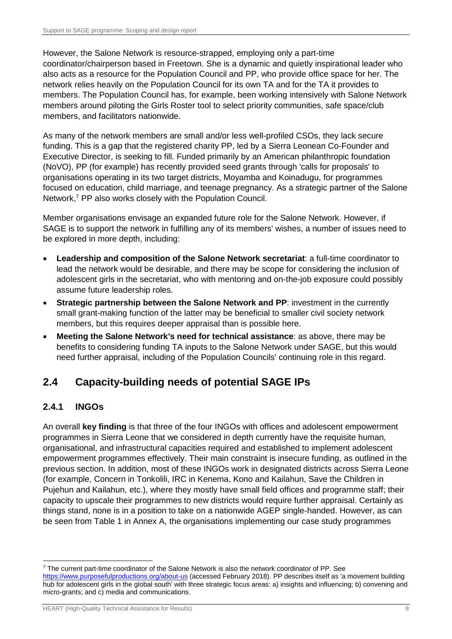However, the Salone Network is resource-strapped, employing only a part-time coordinator/chairperson based in Freetown. She is a dynamic and quietly inspirational leader who also acts as a resource for the Population Council and PP, who provide office space for her. The network relies heavily on the Population Council for its own TA and for the TA it provides to members. The Population Council has, for example, been working intensively with Salone Network members around piloting the Girls Roster tool to select priority communities, safe space/club members, and facilitators nationwide.

As many of the network members are small and/or less well-profiled CSOs, they lack secure funding. This is a gap that the registered charity PP, led by a Sierra Leonean Co-Founder and Executive Director, is seeking to fill. Funded primarily by an American philanthropic foundation (NoVO), PP (for example) has recently provided seed grants through 'calls for proposals' to organisations operating in its two target districts, Moyamba and Koinadugu, for programmes focused on education, child marriage, and teenage pregnancy. As a strategic partner of the Salone Network, <sup>7</sup> PP also works closely with the Population Council.

Member organisations envisage an expanded future role for the Salone Network. However, if SAGE is to support the network in fulfilling any of its members' wishes, a number of issues need to be explored in more depth, including:

- **Leadership and composition of the Salone Network secretariat**: a full-time coordinator to lead the network would be desirable, and there may be scope for considering the inclusion of adolescent girls in the secretariat, who with mentoring and on-the-job exposure could possibly assume future leadership roles.
- **Strategic partnership between the Salone Network and PP: investment in the currently** small grant-making function of the latter may be beneficial to smaller civil society network members, but this requires deeper appraisal than is possible here.
- **Meeting the Salone Network's need for technical assistance**: as above, there may be benefits to considering funding TA inputs to the Salone Network under SAGE, but this would need further appraisal, including of the Population Councils' continuing role in this regard.

# <span id="page-16-0"></span>**2.4 Capacity-building needs of potential SAGE IPs**

## **2.4.1 INGOs**

-

An overall **key finding** is that three of the four INGOs with offices and adolescent empowerment programmes in Sierra Leone that we considered in depth currently have the requisite human, organisational, and infrastructural capacities required and established to implement adolescent empowerment programmes effectively. Their main constraint is insecure funding, as outlined in the previous section. In addition, most of these INGOs work in designated districts across Sierra Leone (for example, Concern in Tonkolili, IRC in Kenema, Kono and Kailahun, Save the Children in Pujehun and Kailahun, etc.), where they mostly have small field offices and programme staff; their capacity to upscale their programmes to new districts would require further appraisal. Certainly as things stand, none is in a position to take on a nationwide AGEP single-handed. However, as can be seen from Table 1 in Annex A, the organisations implementing our case study programmes

<sup>7</sup> The current part-time coordinator of the Salone Network is also the network coordinator of PP. See <https://www.purposefulproductions.org/about-us> (accessed February 2018). PP describes itself as 'a movement building hub for adolescent girls in the global south' with three strategic focus areas: a) insights and influencing; b) convening and micro-grants; and c) media and communications.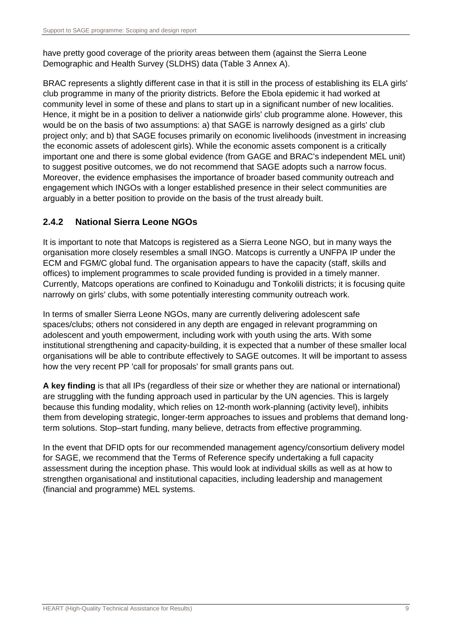have pretty good coverage of the priority areas between them (against the Sierra Leone Demographic and Health Survey (SLDHS) data (Table 3 Annex A).

BRAC represents a slightly different case in that it is still in the process of establishing its ELA girls' club programme in many of the priority districts. Before the Ebola epidemic it had worked at community level in some of these and plans to start up in a significant number of new localities. Hence, it might be in a position to deliver a nationwide girls' club programme alone. However, this would be on the basis of two assumptions: a) that SAGE is narrowly designed as a girls' club project only; and b) that SAGE focuses primarily on economic livelihoods (investment in increasing the economic assets of adolescent girls). While the economic assets component is a critically important one and there is some global evidence (from GAGE and BRAC's independent MEL unit) to suggest positive outcomes, we do not recommend that SAGE adopts such a narrow focus. Moreover, the evidence emphasises the importance of broader based community outreach and engagement which INGOs with a longer established presence in their select communities are arguably in a better position to provide on the basis of the trust already built.

## **2.4.2 National Sierra Leone NGOs**

It is important to note that Matcops is registered as a Sierra Leone NGO, but in many ways the organisation more closely resembles a small INGO. Matcops is currently a UNFPA IP under the ECM and FGM/C global fund. The organisation appears to have the capacity (staff, skills and offices) to implement programmes to scale provided funding is provided in a timely manner. Currently, Matcops operations are confined to Koinadugu and Tonkolili districts; it is focusing quite narrowly on girls' clubs, with some potentially interesting community outreach work.

In terms of smaller Sierra Leone NGOs, many are currently delivering adolescent safe spaces/clubs; others not considered in any depth are engaged in relevant programming on adolescent and youth empowerment, including work with youth using the arts. With some institutional strengthening and capacity-building, it is expected that a number of these smaller local organisations will be able to contribute effectively to SAGE outcomes. It will be important to assess how the very recent PP 'call for proposals' for small grants pans out.

**A key finding** is that all IPs (regardless of their size or whether they are national or international) are struggling with the funding approach used in particular by the UN agencies. This is largely because this funding modality, which relies on 12-month work-planning (activity level), inhibits them from developing strategic, longer-term approaches to issues and problems that demand longterm solutions. Stop–start funding, many believe, detracts from effective programming.

In the event that DFID opts for our recommended management agency/consortium delivery model for SAGE, we recommend that the Terms of Reference specify undertaking a full capacity assessment during the inception phase. This would look at individual skills as well as at how to strengthen organisational and institutional capacities, including leadership and management (financial and programme) MEL systems.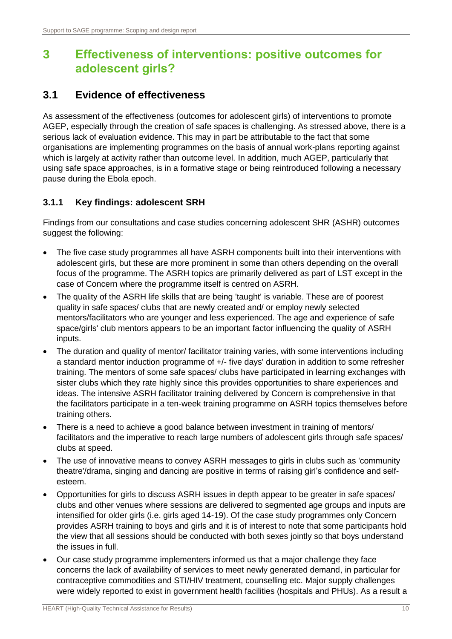# <span id="page-18-0"></span>**3 Effectiveness of interventions: positive outcomes for adolescent girls?**

# <span id="page-18-1"></span>**3.1 Evidence of effectiveness**

As assessment of the effectiveness (outcomes for adolescent girls) of interventions to promote AGEP, especially through the creation of safe spaces is challenging. As stressed above, there is a serious lack of evaluation evidence. This may in part be attributable to the fact that some organisations are implementing programmes on the basis of annual work-plans reporting against which is largely at activity rather than outcome level. In addition, much AGEP, particularly that using safe space approaches, is in a formative stage or being reintroduced following a necessary pause during the Ebola epoch.

## **3.1.1 Key findings: adolescent SRH**

Findings from our consultations and case studies concerning adolescent SHR (ASHR) outcomes suggest the following:

- The five case study programmes all have ASRH components built into their interventions with adolescent girls, but these are more prominent in some than others depending on the overall focus of the programme. The ASRH topics are primarily delivered as part of LST except in the case of Concern where the programme itself is centred on ASRH.
- The quality of the ASRH life skills that are being 'taught' is variable. These are of poorest quality in safe spaces/ clubs that are newly created and/ or employ newly selected mentors/facilitators who are younger and less experienced. The age and experience of safe space/girls' club mentors appears to be an important factor influencing the quality of ASRH inputs.
- The duration and quality of mentor/ facilitator training varies, with some interventions including a standard mentor induction programme of +/- five days' duration in addition to some refresher training. The mentors of some safe spaces/ clubs have participated in learning exchanges with sister clubs which they rate highly since this provides opportunities to share experiences and ideas. The intensive ASRH facilitator training delivered by Concern is comprehensive in that the facilitators participate in a ten-week training programme on ASRH topics themselves before training others.
- There is a need to achieve a good balance between investment in training of mentors/ facilitators and the imperative to reach large numbers of adolescent girls through safe spaces/ clubs at speed.
- The use of innovative means to convey ASRH messages to girls in clubs such as 'community theatre'/drama, singing and dancing are positive in terms of raising girl's confidence and selfesteem.
- Opportunities for girls to discuss ASRH issues in depth appear to be greater in safe spaces/ clubs and other venues where sessions are delivered to segmented age groups and inputs are intensified for older girls (i.e. girls aged 14-19). Of the case study programmes only Concern provides ASRH training to boys and girls and it is of interest to note that some participants hold the view that all sessions should be conducted with both sexes jointly so that boys understand the issues in full.
- Our case study programme implementers informed us that a major challenge they face concerns the lack of availability of services to meet newly generated demand, in particular for contraceptive commodities and STI/HIV treatment, counselling etc. Major supply challenges were widely reported to exist in government health facilities (hospitals and PHUs). As a result a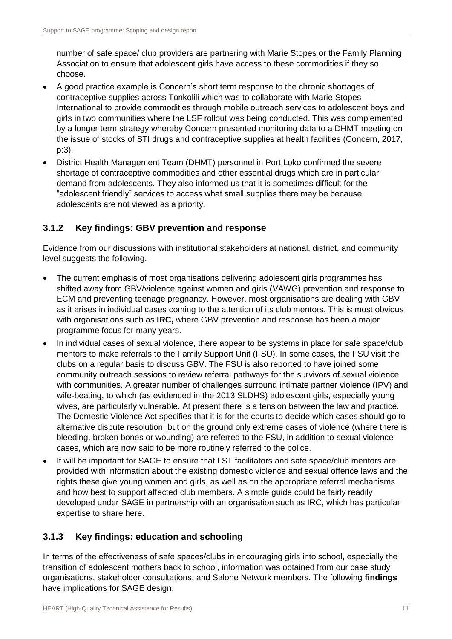number of safe space/ club providers are partnering with Marie Stopes or the Family Planning Association to ensure that adolescent girls have access to these commodities if they so choose.

- A good practice example is Concern's short term response to the chronic shortages of contraceptive supplies across Tonkolili which was to collaborate with Marie Stopes International to provide commodities through mobile outreach services to adolescent boys and girls in two communities where the LSF rollout was being conducted. This was complemented by a longer term strategy whereby Concern presented monitoring data to a DHMT meeting on the issue of stocks of STI drugs and contraceptive supplies at health facilities (Concern, 2017, p:3).
- District Health Management Team (DHMT) personnel in Port Loko confirmed the severe shortage of contraceptive commodities and other essential drugs which are in particular demand from adolescents. They also informed us that it is sometimes difficult for the "adolescent friendly" services to access what small supplies there may be because adolescents are not viewed as a priority.

#### **3.1.2 Key findings: GBV prevention and response**

Evidence from our discussions with institutional stakeholders at national, district, and community level suggests the following.

- The current emphasis of most organisations delivering adolescent girls programmes has shifted away from GBV/violence against women and girls (VAWG) prevention and response to ECM and preventing teenage pregnancy. However, most organisations are dealing with GBV as it arises in individual cases coming to the attention of its club mentors. This is most obvious with organisations such as **IRC,** where GBV prevention and response has been a major programme focus for many years.
- In individual cases of sexual violence, there appear to be systems in place for safe space/club mentors to make referrals to the Family Support Unit (FSU). In some cases, the FSU visit the clubs on a regular basis to discuss GBV. The FSU is also reported to have joined some community outreach sessions to review referral pathways for the survivors of sexual violence with communities. A greater number of challenges surround intimate partner violence (IPV) and wife-beating, to which (as evidenced in the 2013 SLDHS) adolescent girls, especially young wives, are particularly vulnerable. At present there is a tension between the law and practice. The Domestic Violence Act specifies that it is for the courts to decide which cases should go to alternative dispute resolution, but on the ground only extreme cases of violence (where there is bleeding, broken bones or wounding) are referred to the FSU, in addition to sexual violence cases, which are now said to be more routinely referred to the police.
- It will be important for SAGE to ensure that LST facilitators and safe space/club mentors are provided with information about the existing domestic violence and sexual offence laws and the rights these give young women and girls, as well as on the appropriate referral mechanisms and how best to support affected club members. A simple guide could be fairly readily developed under SAGE in partnership with an organisation such as IRC, which has particular expertise to share here.

#### **3.1.3 Key findings: education and schooling**

In terms of the effectiveness of safe spaces/clubs in encouraging girls into school, especially the transition of adolescent mothers back to school, information was obtained from our case study organisations, stakeholder consultations, and Salone Network members. The following **findings** have implications for SAGE design.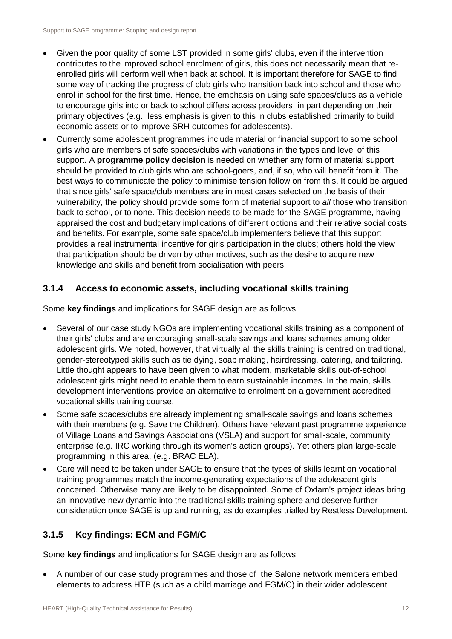- Given the poor quality of some LST provided in some girls' clubs, even if the intervention contributes to the improved school enrolment of girls, this does not necessarily mean that reenrolled girls will perform well when back at school. It is important therefore for SAGE to find some way of tracking the progress of club girls who transition back into school and those who enrol in school for the first time. Hence, the emphasis on using safe spaces/clubs as a vehicle to encourage girls into or back to school differs across providers, in part depending on their primary objectives (e.g., less emphasis is given to this in clubs established primarily to build economic assets or to improve SRH outcomes for adolescents).
- Currently some adolescent programmes include material or financial support to some school girls who are members of safe spaces/clubs with variations in the types and level of this support. A **programme policy decision** is needed on whether any form of material support should be provided to club girls who are school-goers, and, if so, who will benefit from it. The best ways to communicate the policy to minimise tension follow on from this. It could be argued that since girls' safe space/club members are in most cases selected on the basis of their vulnerability, the policy should provide some form of material support to *all* those who transition back to school, or to none. This decision needs to be made for the SAGE programme, having appraised the cost and budgetary implications of different options and their relative social costs and benefits. For example, some safe space/club implementers believe that this support provides a real instrumental incentive for girls participation in the clubs; others hold the view that participation should be driven by other motives, such as the desire to acquire new knowledge and skills and benefit from socialisation with peers.

#### **3.1.4 Access to economic assets, including vocational skills training**

Some **key findings** and implications for SAGE design are as follows.

- Several of our case study NGOs are implementing vocational skills training as a component of their girls' clubs and are encouraging small-scale savings and loans schemes among older adolescent girls. We noted, however, that virtually all the skills training is centred on traditional, gender-stereotyped skills such as tie dying, soap making, hairdressing, catering, and tailoring. Little thought appears to have been given to what modern, marketable skills out-of-school adolescent girls might need to enable them to earn sustainable incomes. In the main, skills development interventions provide an alternative to enrolment on a government accredited vocational skills training course.
- Some safe spaces/clubs are already implementing small-scale savings and loans schemes with their members (e.g. Save the Children). Others have relevant past programme experience of Village Loans and Savings Associations (VSLA) and support for small-scale, community enterprise (e.g. IRC working through its women's action groups). Yet others plan large-scale programming in this area, (e.g. BRAC ELA).
- Care will need to be taken under SAGE to ensure that the types of skills learnt on vocational training programmes match the income-generating expectations of the adolescent girls concerned. Otherwise many are likely to be disappointed. Some of Oxfam's project ideas bring an innovative new dynamic into the traditional skills training sphere and deserve further consideration once SAGE is up and running, as do examples trialled by Restless Development.

#### **3.1.5 Key findings: ECM and FGM/C**

Some **key findings** and implications for SAGE design are as follows.

 A number of our case study programmes and those of the Salone network members embed elements to address HTP (such as a child marriage and FGM/C) in their wider adolescent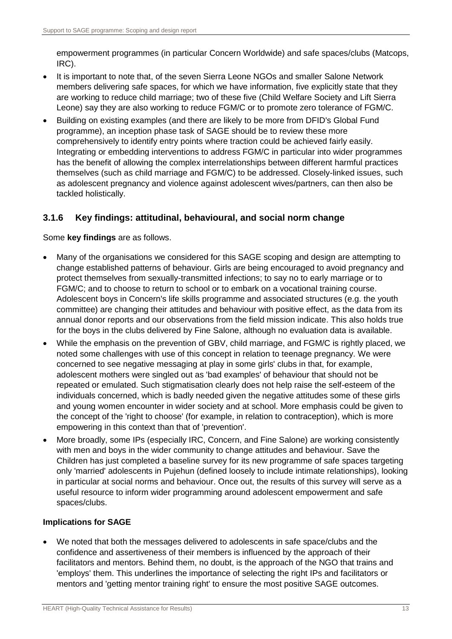empowerment programmes (in particular Concern Worldwide) and safe spaces/clubs (Matcops, IRC).

- It is important to note that, of the seven Sierra Leone NGOs and smaller Salone Network members delivering safe spaces, for which we have information, five explicitly state that they are working to reduce child marriage; two of these five (Child Welfare Society and Lift Sierra Leone) say they are also working to reduce FGM/C or to promote zero tolerance of FGM/C.
- Building on existing examples (and there are likely to be more from DFID's Global Fund programme), an inception phase task of SAGE should be to review these more comprehensively to identify entry points where traction could be achieved fairly easily. Integrating or embedding interventions to address FGM/C in particular into wider programmes has the benefit of allowing the complex interrelationships between different harmful practices themselves (such as child marriage and FGM/C) to be addressed. Closely-linked issues, such as adolescent pregnancy and violence against adolescent wives/partners, can then also be tackled holistically.

#### **3.1.6 Key findings: attitudinal, behavioural, and social norm change**

Some **key findings** are as follows.

- Many of the organisations we considered for this SAGE scoping and design are attempting to change established patterns of behaviour. Girls are being encouraged to avoid pregnancy and protect themselves from sexually-transmitted infections; to say no to early marriage or to FGM/C; and to choose to return to school or to embark on a vocational training course. Adolescent boys in Concern's life skills programme and associated structures (e.g. the youth committee) are changing their attitudes and behaviour with positive effect, as the data from its annual donor reports and our observations from the field mission indicate. This also holds true for the boys in the clubs delivered by Fine Salone, although no evaluation data is available.
- While the emphasis on the prevention of GBV, child marriage, and FGM/C is rightly placed, we noted some challenges with use of this concept in relation to teenage pregnancy. We were concerned to see negative messaging at play in some girls' clubs in that, for example, adolescent mothers were singled out as 'bad examples' of behaviour that should not be repeated or emulated. Such stigmatisation clearly does not help raise the self-esteem of the individuals concerned, which is badly needed given the negative attitudes some of these girls and young women encounter in wider society and at school. More emphasis could be given to the concept of the 'right to choose' (for example, in relation to contraception), which is more empowering in this context than that of 'prevention'.
- More broadly, some IPs (especially IRC, Concern, and Fine Salone) are working consistently with men and boys in the wider community to change attitudes and behaviour. Save the Children has just completed a baseline survey for its new programme of safe spaces targeting only 'married' adolescents in Pujehun (defined loosely to include intimate relationships), looking in particular at social norms and behaviour. Once out, the results of this survey will serve as a useful resource to inform wider programming around adolescent empowerment and safe spaces/clubs.

#### **Implications for SAGE**

 We noted that both the messages delivered to adolescents in safe space/clubs and the confidence and assertiveness of their members is influenced by the approach of their facilitators and mentors. Behind them, no doubt, is the approach of the NGO that trains and 'employs' them. This underlines the importance of selecting the right IPs and facilitators or mentors and 'getting mentor training right' to ensure the most positive SAGE outcomes.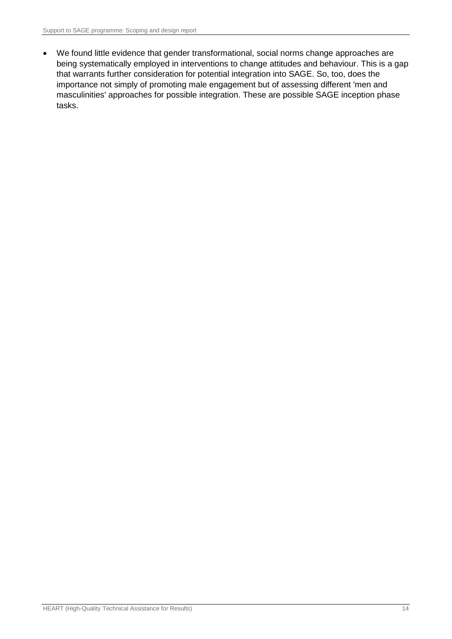We found little evidence that gender transformational, social norms change approaches are being systematically employed in interventions to change attitudes and behaviour. This is a gap that warrants further consideration for potential integration into SAGE. So, too, does the importance not simply of promoting male engagement but of assessing different 'men and masculinities' approaches for possible integration. These are possible SAGE inception phase tasks.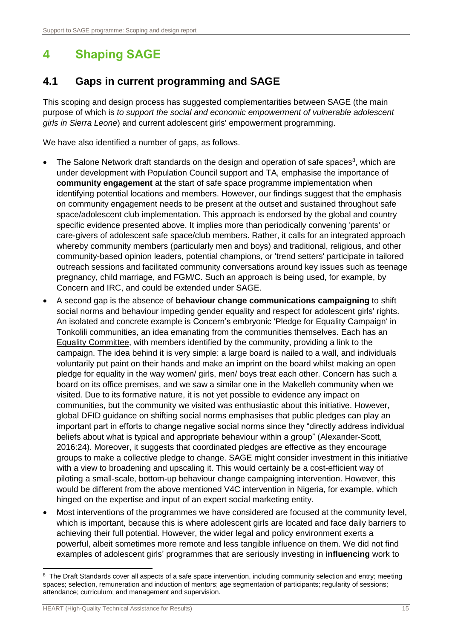# <span id="page-23-0"></span>**4 Shaping SAGE**

# <span id="page-23-1"></span>**4.1 Gaps in current programming and SAGE**

This scoping and design process has suggested complementarities between SAGE (the main purpose of which is *to support the social and economic empowerment of vulnerable adolescent girls in Sierra Leone*) and current adolescent girls' empowerment programming.

We have also identified a number of gaps, as follows.

- The Salone Network draft standards on the design and operation of safe spaces<sup>8</sup>, which are under development with Population Council support and TA, emphasise the importance of **community engagement** at the start of safe space programme implementation when identifying potential locations and members. However, our findings suggest that the emphasis on community engagement needs to be present at the outset and sustained throughout safe space/adolescent club implementation. This approach is endorsed by the global and country specific evidence presented above. It implies more than periodically convening 'parents' or care-givers of adolescent safe space/club members. Rather, it calls for an integrated approach whereby community members (particularly men and boys) and traditional, religious, and other community-based opinion leaders, potential champions, or 'trend setters' participate in tailored outreach sessions and facilitated community conversations around key issues such as teenage pregnancy, child marriage, and FGM/C. Such an approach is being used, for example, by Concern and IRC, and could be extended under SAGE.
- A second gap is the absence of **behaviour change communications campaigning** to shift social norms and behaviour impeding gender equality and respect for adolescent girls' rights. An isolated and concrete example is Concern's embryonic 'Pledge for Equality Campaign' in Tonkolili communities, an idea emanating from the communities themselves. Each has an Equality Committee, with members identified by the community, providing a link to the campaign. The idea behind it is very simple: a large board is nailed to a wall, and individuals voluntarily put paint on their hands and make an imprint on the board whilst making an open pledge for equality in the way women/ girls, men/ boys treat each other. Concern has such a board on its office premises, and we saw a similar one in the Makelleh community when we visited. Due to its formative nature, it is not yet possible to evidence any impact on communities, but the community we visited was enthusiastic about this initiative. However, global DFID guidance on shifting social norms emphasises that public pledges can play an important part in efforts to change negative social norms since they "directly address individual beliefs about what is typical and appropriate behaviour within a group" (Alexander-Scott, 2016:24). Moreover, it suggests that coordinated pledges are effective as they encourage groups to make a collective pledge to change. SAGE might consider investment in this initiative with a view to broadening and upscaling it. This would certainly be a cost-efficient way of piloting a small-scale, bottom-up behaviour change campaigning intervention. However, this would be different from the above mentioned V4C intervention in Nigeria, for example, which hinged on the expertise and input of an expert social marketing entity.
- Most interventions of the programmes we have considered are focused at the community level, which is important, because this is where adolescent girls are located and face daily barriers to achieving their full potential. However, the wider legal and policy environment exerts a powerful, albeit sometimes more remote and less tangible influence on them. We did not find examples of adolescent girls' programmes that are seriously investing in **influencing** work to

<sup>-</sup><sup>8</sup> The Draft Standards cover all aspects of a safe space intervention, including community selection and entry; meeting spaces; selection, remuneration and induction of mentors; age segmentation of participants; regularity of sessions; attendance; curriculum; and management and supervision.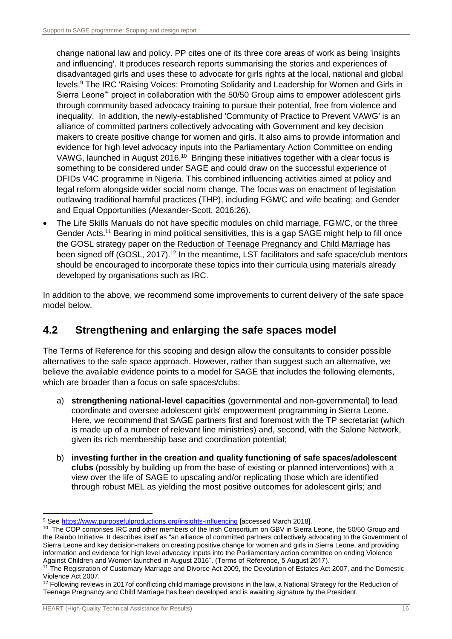change national law and policy. PP cites one of its three core areas of work as being 'insights and influencing'. It produces research reports summarising the stories and experiences of disadvantaged girls and uses these to advocate for girls rights at the local, national and global levels. <sup>9</sup> The IRC 'Raising Voices: Promoting Solidarity and Leadership for Women and Girls in Sierra Leone"' project in collaboration with the 50/50 Group aims to empower adolescent girls through community based advocacy training to pursue their potential, free from violence and inequality. In addition, the newly-established 'Community of Practice to Prevent VAWG' is an alliance of committed partners collectively advocating with Government and key decision makers to create positive change for women and girls. It also aims to provide information and evidence for high level advocacy inputs into the Parliamentary Action Committee on ending VAWG, launched in August 2016.<sup>10</sup> Bringing these initiatives together with a clear focus is something to be considered under SAGE and could draw on the successful experience of DFIDs V4C programme in Nigeria. This combined influencing activities aimed at policy and legal reform alongside wider social norm change. The focus was on enactment of legislation outlawing traditional harmful practices (THP), including FGM/C and wife beating; and Gender and Equal Opportunities (Alexander-Scott, 2016:26).

 The Life Skills Manuals do not have specific modules on child marriage, FGM/C, or the three Gender Acts.<sup>11</sup> Bearing in mind political sensitivities, this is a gap SAGE might help to fill once the GOSL strategy paper on the Reduction of Teenage Pregnancy and Child Marriage has been signed off (GOSL, 2017).<sup>12</sup> In the meantime, LST facilitators and safe space/club mentors should be encouraged to incorporate these topics into their curricula using materials already developed by organisations such as IRC.

In addition to the above, we recommend some improvements to current delivery of the safe space model below.

# <span id="page-24-0"></span>**4.2 Strengthening and enlarging the safe spaces model**

The Terms of Reference for this scoping and design allow the consultants to consider possible alternatives to the safe space approach. However, rather than suggest such an alternative, we believe the available evidence points to a model for SAGE that includes the following elements, which are broader than a focus on safe spaces/clubs:

- a) **strengthening national-level capacities** (governmental and non-governmental) to lead coordinate and oversee adolescent girls' empowerment programming in Sierra Leone. Here, we recommend that SAGE partners first and foremost with the TP secretariat (which is made up of a number of relevant line ministries) and, second, with the Salone Network, given its rich membership base and coordination potential;
- b) **investing further in the creation and quality functioning of safe spaces/adolescent clubs** (possibly by building up from the base of existing or planned interventions) with a view over the life of SAGE to upscaling and/or replicating those which are identified through robust MEL as yielding the most positive outcomes for adolescent girls; and

-

<sup>&</sup>lt;sup>9</sup> See<https://www.purposefulproductions.org/insights-influencing> [accessed March 2018].

<sup>&</sup>lt;sup>10</sup> The COP comprises IRC and other members of the Irish Consortium on GBV in Sierra Leone, the 50/50 Group and the Rainbo Initiative. It describes itself as "an alliance of committed partners collectively advocating to the Government of Sierra Leone and key decision-makers on creating positive change for women and girls in Sierra Leone, and providing information and evidence for high level advocacy inputs into the Parliamentary action committee on ending Violence Against Children and Women launched in August 2016". (Terms of Reference, 5 August 2017).

<sup>&</sup>lt;sup>11</sup> The Registration of Customary Marriage and Divorce Act 2009, the Devolution of Estates Act 2007, and the Domestic Violence Act 2007.

 $12$  Following reviews in 2017of conflicting child marriage provisions in the law, a National Strategy for the Reduction of Teenage Pregnancy and Child Marriage has been developed and is awaiting signature by the President.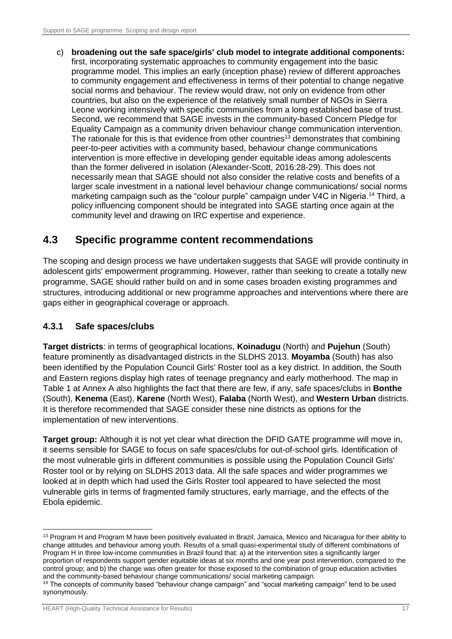c) **broadening out the safe space/girls' club model to integrate additional components:**  first, incorporating systematic approaches to community engagement into the basic programme model. This implies an early (inception phase) review of different approaches to community engagement and effectiveness in terms of their potential to change negative social norms and behaviour. The review would draw, not only on evidence from other countries, but also on the experience of the relatively small number of NGOs in Sierra Leone working intensively with specific communities from a long established base of trust. Second, we recommend that SAGE invests in the community-based Concern Pledge for Equality Campaign as a community driven behaviour change communication intervention. The rationale for this is that evidence from other countries<sup>13</sup> demonstrates that combining peer-to-peer activities with a community based, behaviour change communications intervention is more effective in developing gender equitable ideas among adolescents than the former delivered in isolation (Alexander-Scott, 2016:28-29). This does not necessarily mean that SAGE should not also consider the relative costs and benefits of a larger scale investment in a national level behaviour change communications/ social norms marketing campaign such as the "colour purple" campaign under V4C in Nigeria.<sup>14</sup> Third, a policy influencing component should be integrated into SAGE starting once again at the community level and drawing on IRC expertise and experience.

## <span id="page-25-0"></span>**4.3 Specific programme content recommendations**

The scoping and design process we have undertaken suggests that SAGE will provide continuity in adolescent girls' empowerment programming. However, rather than seeking to create a totally new programme, SAGE should rather build on and in some cases broaden existing programmes and structures, introducing additional or new programme approaches and interventions where there are gaps either in geographical coverage or approach.

#### **4.3.1 Safe spaces/clubs**

**Target districts**: in terms of geographical locations, **Koinadugu** (North) and **Pujehun** (South) feature prominently as disadvantaged districts in the SLDHS 2013. **Moyamba** (South) has also been identified by the Population Council Girls' Roster tool as a key district. In addition, the South and Eastern regions display high rates of teenage pregnancy and early motherhood. The map in Table 1 at Annex A also highlights the fact that there are few, if any, safe spaces/clubs in **Bonthe** (South), **Kenema** (East), **Karene** (North West), **Falaba** (North West), and **Western Urban** districts. It is therefore recommended that SAGE consider these nine districts as options for the implementation of new interventions.

**Target group:** Although it is not yet clear what direction the DFID GATE programme will move in, it seems sensible for SAGE to focus on safe spaces/clubs for out-of-school girls. Identification of the most vulnerable girls in different communities is possible using the Population Council Girls' Roster tool or by relying on SLDHS 2013 data. All the safe spaces and wider programmes we looked at in depth which had used the Girls Roster tool appeared to have selected the most vulnerable girls in terms of fragmented family structures, early marriage, and the effects of the Ebola epidemic.

<sup>-</sup><sup>13</sup> Program H and Program M have been positively evaluated in Brazil, Jamaica, Mexico and Nicaragua for their ability to change attitudes and behaviour among youth. Results of a small quasi-experimental study of different combinations of Program H in three low-income communities in Brazil found that: a) at the intervention sites a significantly larger proportion of respondents support gender equitable ideas at six months and one year post intervention, compared to the control group; and b) the change was often greater for those exposed to the combination of group education activities and the community-based behaviour change communications/ social marketing campaign.

<sup>14</sup> The concepts of community based "behaviour change campaign" and "social marketing campaign" tend to be used synonymously.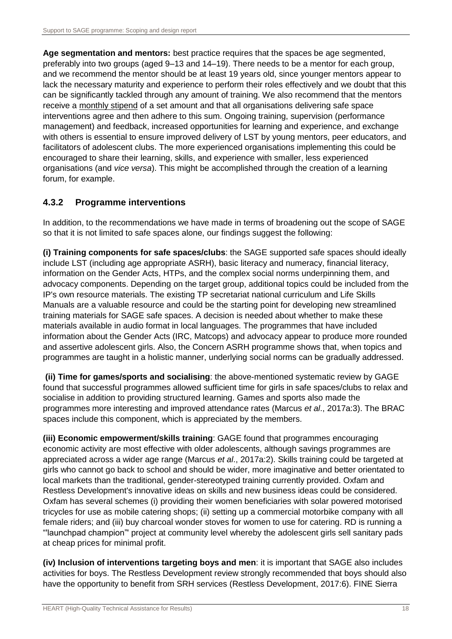**Age segmentation and mentors:** best practice requires that the spaces be age segmented, preferably into two groups (aged 9–13 and 14–19). There needs to be a mentor for each group, and we recommend the mentor should be at least 19 years old, since younger mentors appear to lack the necessary maturity and experience to perform their roles effectively and we doubt that this can be significantly tackled through any amount of training. We also recommend that the mentors receive a monthly stipend of a set amount and that all organisations delivering safe space interventions agree and then adhere to this sum. Ongoing training, supervision (performance management) and feedback, increased opportunities for learning and experience, and exchange with others is essential to ensure improved delivery of LST by young mentors, peer educators, and facilitators of adolescent clubs. The more experienced organisations implementing this could be encouraged to share their learning, skills, and experience with smaller, less experienced organisations (and *vice versa*). This might be accomplished through the creation of a learning forum, for example.

#### **4.3.2 Programme interventions**

In addition, to the recommendations we have made in terms of broadening out the scope of SAGE so that it is not limited to safe spaces alone, our findings suggest the following:

**(i) Training components for safe spaces/clubs**: the SAGE supported safe spaces should ideally include LST (including age appropriate ASRH), basic literacy and numeracy, financial literacy, information on the Gender Acts, HTPs, and the complex social norms underpinning them, and advocacy components. Depending on the target group, additional topics could be included from the IP's own resource materials. The existing TP secretariat national curriculum and Life Skills Manuals are a valuable resource and could be the starting point for developing new streamlined training materials for SAGE safe spaces. A decision is needed about whether to make these materials available in audio format in local languages. The programmes that have included information about the Gender Acts (IRC, Matcops) and advocacy appear to produce more rounded and assertive adolescent girls. Also, the Concern ASRH programme shows that, when topics and programmes are taught in a holistic manner, underlying social norms can be gradually addressed.

**(ii) Time for games/sports and socialising**: the above-mentioned systematic review by GAGE found that successful programmes allowed sufficient time for girls in safe spaces/clubs to relax and socialise in addition to providing structured learning. Games and sports also made the programmes more interesting and improved attendance rates (Marcus *et al*., 2017a:3). The BRAC spaces include this component, which is appreciated by the members.

**(iii) Economic empowerment/skills training**: GAGE found that programmes encouraging economic activity are most effective with older adolescents, although savings programmes are appreciated across a wider age range (Marcus *et al*., 2017a:2). Skills training could be targeted at girls who cannot go back to school and should be wider, more imaginative and better orientated to local markets than the traditional, gender-stereotyped training currently provided. Oxfam and Restless Development's innovative ideas on skills and new business ideas could be considered. Oxfam has several schemes (i) providing their women beneficiaries with solar powered motorised tricycles for use as mobile catering shops; (ii) setting up a commercial motorbike company with all female riders; and (iii) buy charcoal wonder stoves for women to use for catering. RD is running a "'launchpad champion"' project at community level whereby the adolescent girls sell sanitary pads at cheap prices for minimal profit.

**(iv) Inclusion of interventions targeting boys and men**: it is important that SAGE also includes activities for boys. The Restless Development review strongly recommended that boys should also have the opportunity to benefit from SRH services (Restless Development, 2017:6). FINE Sierra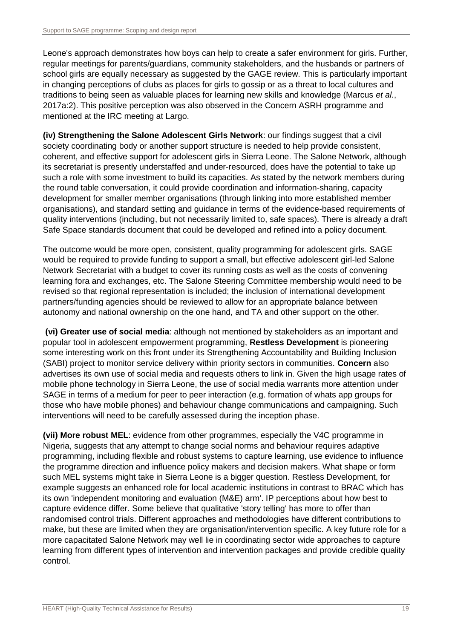Leone's approach demonstrates how boys can help to create a safer environment for girls. Further, regular meetings for parents/guardians, community stakeholders, and the husbands or partners of school girls are equally necessary as suggested by the GAGE review. This is particularly important in changing perceptions of clubs as places for girls to gossip or as a threat to local cultures and traditions to being seen as valuable places for learning new skills and knowledge (Marcus *et al.*, 2017a:2). This positive perception was also observed in the Concern ASRH programme and mentioned at the IRC meeting at Largo.

**(iv) Strengthening the Salone Adolescent Girls Network**: our findings suggest that a civil society coordinating body or another support structure is needed to help provide consistent, coherent, and effective support for adolescent girls in Sierra Leone. The Salone Network, although its secretariat is presently understaffed and under-resourced, does have the potential to take up such a role with some investment to build its capacities. As stated by the network members during the round table conversation, it could provide coordination and information-sharing, capacity development for smaller member organisations (through linking into more established member organisations), and standard setting and guidance in terms of the evidence-based requirements of quality interventions (including, but not necessarily limited to, safe spaces). There is already a draft Safe Space standards document that could be developed and refined into a policy document.

The outcome would be more open, consistent, quality programming for adolescent girls. SAGE would be required to provide funding to support a small, but effective adolescent girl-led Salone Network Secretariat with a budget to cover its running costs as well as the costs of convening learning fora and exchanges, etc. The Salone Steering Committee membership would need to be revised so that regional representation is included; the inclusion of international development partners/funding agencies should be reviewed to allow for an appropriate balance between autonomy and national ownership on the one hand, and TA and other support on the other.

**(vi) Greater use of social media**: although not mentioned by stakeholders as an important and popular tool in adolescent empowerment programming, **Restless Development** is pioneering some interesting work on this front under its Strengthening Accountability and Building Inclusion (SABI) project to monitor service delivery within priority sectors in communities. **Concern** also advertises its own use of social media and requests others to link in. Given the high usage rates of mobile phone technology in Sierra Leone, the use of social media warrants more attention under SAGE in terms of a medium for peer to peer interaction (e.g. formation of whats app groups for those who have mobile phones) and behaviour change communications and campaigning. Such interventions will need to be carefully assessed during the inception phase.

**(vii) More robust MEL**: evidence from other programmes, especially the V4C programme in Nigeria, suggests that any attempt to change social norms and behaviour requires adaptive programming, including flexible and robust systems to capture learning, use evidence to influence the programme direction and influence policy makers and decision makers. What shape or form such MEL systems might take in Sierra Leone is a bigger question. Restless Development, for example suggests an enhanced role for local academic institutions in contrast to BRAC which has its own 'independent monitoring and evaluation (M&E) arm'. IP perceptions about how best to capture evidence differ. Some believe that qualitative 'story telling' has more to offer than randomised control trials. Different approaches and methodologies have different contributions to make, but these are limited when they are organisation/intervention specific. A key future role for a more capacitated Salone Network may well lie in coordinating sector wide approaches to capture learning from different types of intervention and intervention packages and provide credible quality control.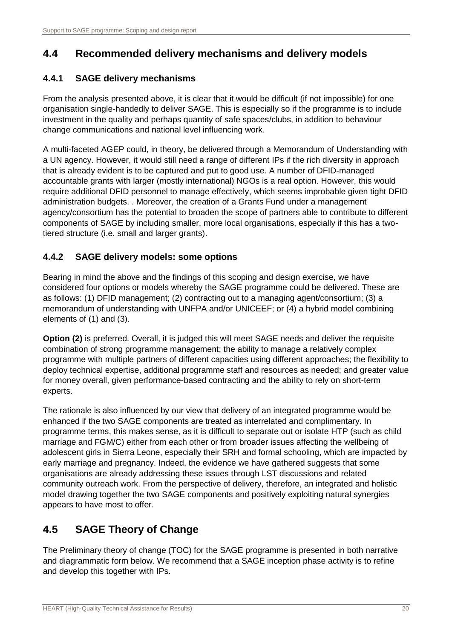# <span id="page-28-0"></span>**4.4 Recommended delivery mechanisms and delivery models**

## **4.4.1 SAGE delivery mechanisms**

From the analysis presented above, it is clear that it would be difficult (if not impossible) for one organisation single-handedly to deliver SAGE. This is especially so if the programme is to include investment in the quality and perhaps quantity of safe spaces/clubs, in addition to behaviour change communications and national level influencing work.

A multi-faceted AGEP could, in theory, be delivered through a Memorandum of Understanding with a UN agency. However, it would still need a range of different IPs if the rich diversity in approach that is already evident is to be captured and put to good use. A number of DFID-managed accountable grants with larger (mostly international) NGOs is a real option. However, this would require additional DFID personnel to manage effectively, which seems improbable given tight DFID administration budgets. . Moreover, the creation of a Grants Fund under a management agency/consortium has the potential to broaden the scope of partners able to contribute to different components of SAGE by including smaller, more local organisations, especially if this has a twotiered structure (i.e. small and larger grants).

## **4.4.2 SAGE delivery models: some options**

Bearing in mind the above and the findings of this scoping and design exercise, we have considered four options or models whereby the SAGE programme could be delivered. These are as follows: (1) DFID management; (2) contracting out to a managing agent/consortium; (3) a memorandum of understanding with UNFPA and/or UNICEEF; or (4) a hybrid model combining elements of (1) and (3).

**Option (2)** is preferred. Overall, it is judged this will meet SAGE needs and deliver the requisite combination of strong programme management; the ability to manage a relatively complex programme with multiple partners of different capacities using different approaches; the flexibility to deploy technical expertise, additional programme staff and resources as needed; and greater value for money overall, given performance-based contracting and the ability to rely on short-term experts.

The rationale is also influenced by our view that delivery of an integrated programme would be enhanced if the two SAGE components are treated as interrelated and complimentary. In programme terms, this makes sense, as it is difficult to separate out or isolate HTP (such as child marriage and FGM/C) either from each other or from broader issues affecting the wellbeing of adolescent girls in Sierra Leone, especially their SRH and formal schooling, which are impacted by early marriage and pregnancy. Indeed, the evidence we have gathered suggests that some organisations are already addressing these issues through LST discussions and related community outreach work. From the perspective of delivery, therefore, an integrated and holistic model drawing together the two SAGE components and positively exploiting natural synergies appears to have most to offer.

# <span id="page-28-1"></span>**4.5 SAGE Theory of Change**

The Preliminary theory of change (TOC) for the SAGE programme is presented in both narrative and diagrammatic form below. We recommend that a SAGE inception phase activity is to refine and develop this together with IPs.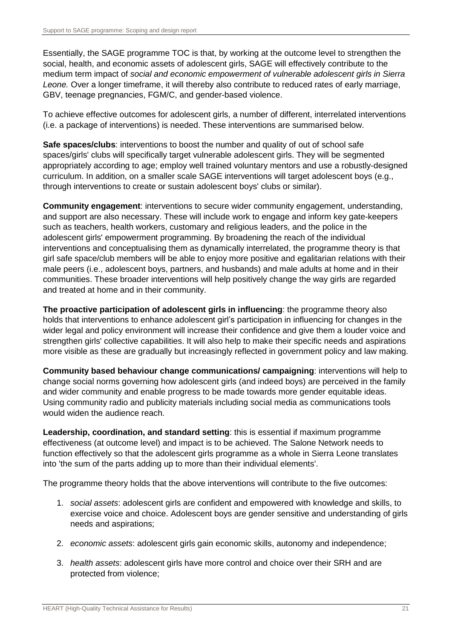Essentially, the SAGE programme TOC is that, by working at the outcome level to strengthen the social, health, and economic assets of adolescent girls, SAGE will effectively contribute to the medium term impact of *social and economic empowerment of vulnerable adolescent girls in Sierra Leone.* Over a longer timeframe, it will thereby also contribute to reduced rates of early marriage, GBV, teenage pregnancies, FGM/C, and gender-based violence.

To achieve effective outcomes for adolescent girls, a number of different, interrelated interventions (i.e. a package of interventions) is needed. These interventions are summarised below.

**Safe spaces/clubs**: interventions to boost the number and quality of out of school safe spaces/girls' clubs will specifically target vulnerable adolescent girls. They will be segmented appropriately according to age; employ well trained voluntary mentors and use a robustly-designed curriculum. In addition, on a smaller scale SAGE interventions will target adolescent boys (e.g., through interventions to create or sustain adolescent boys' clubs or similar).

**Community engagement**: interventions to secure wider community engagement, understanding, and support are also necessary. These will include work to engage and inform key gate-keepers such as teachers, health workers, customary and religious leaders, and the police in the adolescent girls' empowerment programming. By broadening the reach of the individual interventions and conceptualising them as dynamically interrelated, the programme theory is that girl safe space/club members will be able to enjoy more positive and egalitarian relations with their male peers (i.e., adolescent boys, partners, and husbands) and male adults at home and in their communities. These broader interventions will help positively change the way girls are regarded and treated at home and in their community.

**The proactive participation of adolescent girls in influencing**: the programme theory also holds that interventions to enhance adolescent girl's participation in influencing for changes in the wider legal and policy environment will increase their confidence and give them a louder voice and strengthen girls' collective capabilities. It will also help to make their specific needs and aspirations more visible as these are gradually but increasingly reflected in government policy and law making.

**Community based behaviour change communications/ campaigning**: interventions will help to change social norms governing how adolescent girls (and indeed boys) are perceived in the family and wider community and enable progress to be made towards more gender equitable ideas. Using community radio and publicity materials including social media as communications tools would widen the audience reach.

**Leadership, coordination, and standard setting**: this is essential if maximum programme effectiveness (at outcome level) and impact is to be achieved. The Salone Network needs to function effectively so that the adolescent girls programme as a whole in Sierra Leone translates into 'the sum of the parts adding up to more than their individual elements'.

The programme theory holds that the above interventions will contribute to the five outcomes:

- 1. *social assets*: adolescent girls are confident and empowered with knowledge and skills, to exercise voice and choice. Adolescent boys are gender sensitive and understanding of girls needs and aspirations;
- 2. *economic assets*: adolescent girls gain economic skills, autonomy and independence;
- 3. *health assets*: adolescent girls have more control and choice over their SRH and are protected from violence;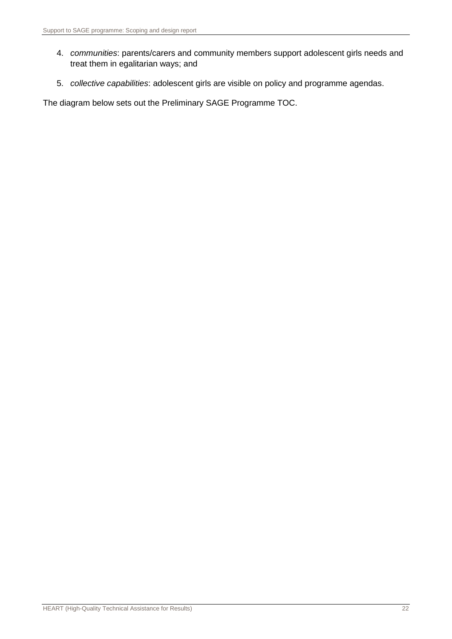- 4. *communities*: parents/carers and community members support adolescent girls needs and treat them in egalitarian ways; and
- 5. *collective capabilities*: adolescent girls are visible on policy and programme agendas.

The diagram below sets out the Preliminary SAGE Programme TOC.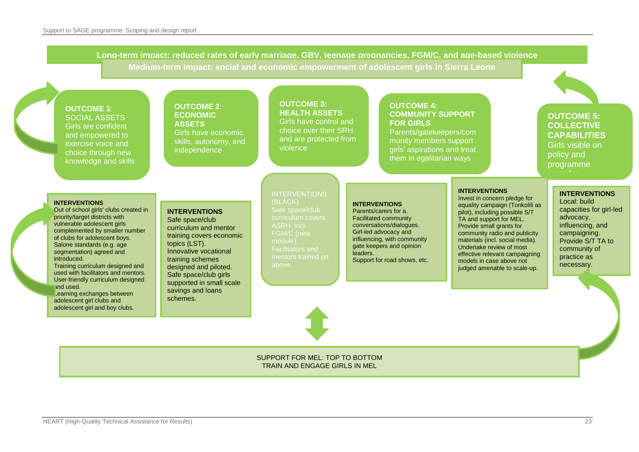**Long-term impact: reduced rates of early marriage, GBV, teenage pregnancies, FGM/C, and age-based violence Medium-term impact: social and economic empowerment of adolescent girls in Sierra Leone**

**OUTCOME 1**: SOCIAL ASSETS Girls are confident and empowered to exercise voice and choice through new knowledge and skills

**OUTCOME 2**: **ECONOMIC ASSETS** Girls have economic skills, autonomy, and

independence

**OUTCOME 3: HEALTH ASSETS** Girls have control and choice over their SRH and are protected from violence

#### **OUTCOME 4: COMMUNITY SUPPORT FOR GIRLS**

Parents/gatekeepers/com munity members support girls' aspirations and treat them in egalitarian ways

**OUTCOME 5: COLLECTIVE CAPABILITIES** Girls visible on policy and programme

#### **INTERVENTIONS**

Out of school girls' clubs created in priority/target districts with vulnerable adolescent girls complemented by smaller number of clubs for adolescent boys. Salone standards (e.g. age segmentation) agreed and introduced. Training curriculum designed and used with facilitators and mentors. User-friendly curriculum designed

and used. Learning exchanges between adolescent girl clubs and adolescent girl and boy clubs.

#### **INTERVENTIONS**

Safe space/club curriculum and mentor training covers economic topics (LST). Innovative vocational training schemes designed and piloted. Safe space/club girls supported in small scale savings and loans schemes.

(BLACK) Safe space/club FGM/C (new module). mentors trained on above.

INTERVENTIONS

#### **INTERVENTIONS**

Parents/carers for a. Facilitated community conversations/dialogues. Girl-led advocacy and influencing, with community gate keepers and opinion leaders. Support for road shows, etc.

#### **INTERVENTIONS**

Invest in concern pledge for equality campaign (Tonkolili as pilot), including possible S/T TA and support for MEL. Provide small grants for community radio and publicity materials (incl. social media). Undertake review of most effective relevant campaigning models in case above not judged amenable to scale-up.

#### **INTERVENTIONS**

Local: build capacities for girl-led advocacy, influencing, and campaigning. Provide S/T TA to community of practice as necessary.

SUPPORT FOR MEL: TOP TO BOTTOM TRAIN AND ENGAGE GIRLS IN MEL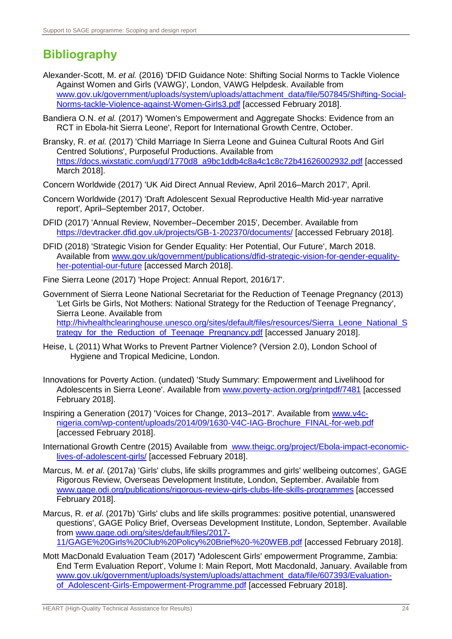# <span id="page-32-0"></span>**Bibliography**

- Alexander-Scott, M. *et al.* (2016) 'DFID Guidance Note: Shifting Social Norms to Tackle Violence Against Women and Girls (VAWG)', London, VAWG Helpdesk. Available from [www.gov.uk/government/uploads/system/uploads/attachment\\_data/file/507845/Shifting-Social-](https://www.gov.uk/government/uploads/system/uploads/attachment_data/file/507845/Shifting-Social-Norms-tackle-Violence-against-Women-Girls3.pdf)[Norms-tackle-Violence-against-Women-Girls3.pdf](https://www.gov.uk/government/uploads/system/uploads/attachment_data/file/507845/Shifting-Social-Norms-tackle-Violence-against-Women-Girls3.pdf) [accessed February 2018].
- Bandiera O.N. *et al.* (2017) 'Women's Empowerment and Aggregate Shocks: Evidence from an RCT in Ebola-hit Sierra Leone', Report for International Growth Centre, October.
- Bransky, R. *et al.* (2017) 'Child Marriage In Sierra Leone and Guinea Cultural Roots And Girl Centred Solutions', Purposeful Productions. Available from [https://docs.wixstatic.com/ugd/1770d8\\_a9bc1ddb4c8a4c1c8c72b41626002932.pdf](https://docs.wixstatic.com/ugd/1770d8_a9bc1ddb4c8a4c1c8c72b41626002932.pdf) [accessed March 2018].
- Concern Worldwide (2017) 'UK Aid Direct Annual Review, April 2016–March 2017', April.
- Concern Worldwide (2017) 'Draft Adolescent Sexual Reproductive Health Mid-year narrative report', April–September 2017, October.
- DFID (2017) 'Annual Review, November–December 2015', December. Available from <https://devtracker.dfid.gov.uk/projects/GB-1-202370/documents/> [accessed February 2018].
- DFID (2018) 'Strategic Vision for Gender Equality: Her Potential, Our Future', March 2018. Available from [www.gov.uk/government/publications/dfid-strategic-vision-for-gender-equality](https://www.gov.uk/government/publications/dfid-strategic-vision-for-gender-equality-her-potential-our-future)[her-potential-our-future](https://www.gov.uk/government/publications/dfid-strategic-vision-for-gender-equality-her-potential-our-future) [accessed March 2018].

Fine Sierra Leone (2017) 'Hope Project: Annual Report, 2016/17'.

- Government of Sierra Leone National Secretariat for the Reduction of Teenage Pregnancy (2013) 'Let Girls be Girls, Not Mothers: National Strategy for the Reduction of Teenage Pregnancy', Sierra Leone. Available from [http://hivhealthclearinghouse.unesco.org/sites/default/files/resources/Sierra\\_Leone\\_National\\_S](http://hivhealthclearinghouse.unesco.org/sites/default/files/resources/Sierra_Leone_National_Strategy_for_the_Reduction_of_Teenage_Pregnancy.pdf) trategy for the Reduction of Teenage\_Pregnancy.pdf [accessed January 2018].
- Heise, L (2011) What Works to Prevent Partner Violence? (Version 2.0), London School of Hygiene and Tropical Medicine, London.
- Innovations for Poverty Action. (undated) 'Study Summary: Empowerment and Livelihood for Adolescents in Sierra Leone'. Available from [www.poverty-action.org/printpdf/7481](https://www.poverty-action.org/printpdf/7481) [accessed February 2018].
- Inspiring a Generation (2017) 'Voices for Change, 2013–2017'. Available from [www.v4c](http://www.v4c-nigeria.com/wp-content/uploads/2014/09/1630-V4C-IAG-Brochure_FINAL-for-web.pdf)[nigeria.com/wp-content/uploads/2014/09/1630-V4C-IAG-Brochure\\_FINAL-for-web.pdf](http://www.v4c-nigeria.com/wp-content/uploads/2014/09/1630-V4C-IAG-Brochure_FINAL-for-web.pdf) [accessed February 2018].
- International Growth Centre (2015) Available from [www.theigc.org/project/Ebola-impact-economic](file:///C:/Users/Caroline/Documents/2.%20CMR%20CURRENT%20CONSULTANCY/2.%20OPM%20SAGE%20SIERRA%20LEONE/1.%20COPY%20EDITED%20REPORT/www.theigc.org/project/Ebola-impact-economic-lives-of-adolescent-girls/)[lives-of-adolescent-girls/](file:///C:/Users/Caroline/Documents/2.%20CMR%20CURRENT%20CONSULTANCY/2.%20OPM%20SAGE%20SIERRA%20LEONE/1.%20COPY%20EDITED%20REPORT/www.theigc.org/project/Ebola-impact-economic-lives-of-adolescent-girls/) [accessed February 2018].
- Marcus, M. *et al*. (2017a) 'Girls' clubs, life skills programmes and girls' wellbeing outcomes', GAGE Rigorous Review, Overseas Development Institute, London, September. Available from [www.gage.odi.org/publications/rigorous-review-girls-clubs-life-skills-programmes](https://www.gage.odi.org/publications/rigorous-review-girls-clubs-life-skills-programmes) [accessed February 2018].
- Marcus, R. *et al*. (2017b) 'Girls' clubs and life skills programmes: positive potential, unanswered questions', GAGE Policy Brief, Overseas Development Institute, London, September. Available from [www.gage.odi.org/sites/default/files/2017-](https://www.gage.odi.org/sites/default/files/2017-11/GAGE%20Girls%20Club%20Policy%20Brief%20-%20WEB.pdf) [11/GAGE%20Girls%20Club%20Policy%20Brief%20-%20WEB.pdf](https://www.gage.odi.org/sites/default/files/2017-11/GAGE%20Girls%20Club%20Policy%20Brief%20-%20WEB.pdf) [accessed February 2018].
- Mott MacDonald Evaluation Team (2017) **'**Adolescent Girls' empowerment Programme, Zambia: End Term Evaluation Report', Volume I: Main Report, Mott Macdonald, January. Available from [www.gov.uk/government/uploads/system/uploads/attachment\\_data/file/607393/Evaluation](https://www.gov.uk/government/uploads/system/uploads/attachment_data/file/607393/Evaluation-of_Adolescent-Girls-Empowerment-Programme.pdf)[of\\_Adolescent-Girls-Empowerment-Programme.pdf](https://www.gov.uk/government/uploads/system/uploads/attachment_data/file/607393/Evaluation-of_Adolescent-Girls-Empowerment-Programme.pdf) [accessed February 2018].